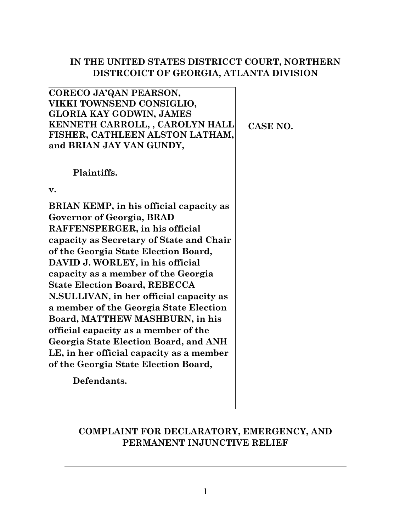# **IN THE UNITED STATES DISTRICCT COURT, NORTHERN DISTRCOICT OF GEORGIA, ATLANTA DIVISION**

**CORECO JA'QAN PEARSON, VIKKI TOWNSEND CONSIGLIO, GLORIA KAY GODWIN, JAMES KENNETH CARROLL, , CAROLYN HALL FISHER, CATHLEEN ALSTON LATHAM, and BRIAN JAY VAN GUNDY,**

# **Plaintiffs.**

**v.**

**BRIAN KEMP, in his official capacity as Governor of Georgia, BRAD RAFFENSPERGER, in his official capacity as Secretary of State and Chair of the Georgia State Election Board, DAVID J. WORLEY, in his official capacity as a member of the Georgia State Election Board, REBECCA N.SULLIVAN, in her official capacity as a member of the Georgia State Election Board, MATTHEW MASHBURN, in his official capacity as a member of the Georgia State Election Board, and ANH LE, in her official capacity as a member of the Georgia State Election Board,**

**Defendants.**

# **COMPLAINT FOR DECLARATORY, EMERGENCY, AND PERMANENT INJUNCTIVE RELIEF**

**CASE NO.**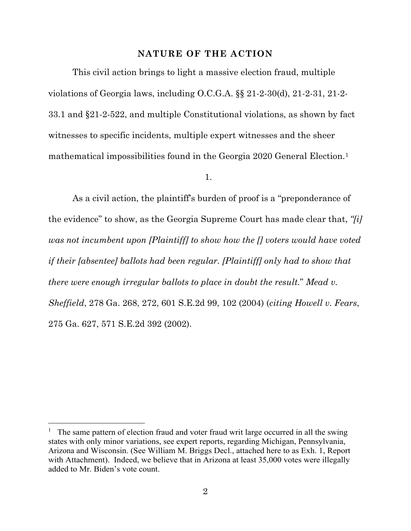#### **NATURE OF THE ACTION**

This civil action brings to light a massive election fraud, multiple violations of Georgia laws, including O.C.G.A. §§ 21-2-30(d), 21-2-31, 21-2- 33.1 and §21-2-522, and multiple Constitutional violations, as shown by fact witnesses to specific incidents, multiple expert witnesses and the sheer mathematical impossibilities found in the Georgia 2020 General Election.[1](#page-1-0)

1.

As a civil action, the plaintiff's burden of proof is a "preponderance of the evidence" to show, as the Georgia Supreme Court has made clear that, *"[i] was not incumbent upon [Plaintiff] to show how the [] voters would have voted if their [absentee] ballots had been regular. [Plaintiff] only had to show that there were enough irregular ballots to place in doubt the result.*" *Mead v. Sheffield*, 278 Ga. 268, 272, 601 S.E.2d 99, 102 (2004) (*citing Howell v. Fears*, 275 Ga. 627, 571 S.E.2d 392 (2002).

l

<span id="page-1-0"></span><sup>1</sup> The same pattern of election fraud and voter fraud writ large occurred in all the swing states with only minor variations, see expert reports, regarding Michigan, Pennsylvania, Arizona and Wisconsin. (See William M. Briggs Decl., attached here to as Exh. 1, Report with Attachment). Indeed, we believe that in Arizona at least 35,000 votes were illegally added to Mr. Biden's vote count.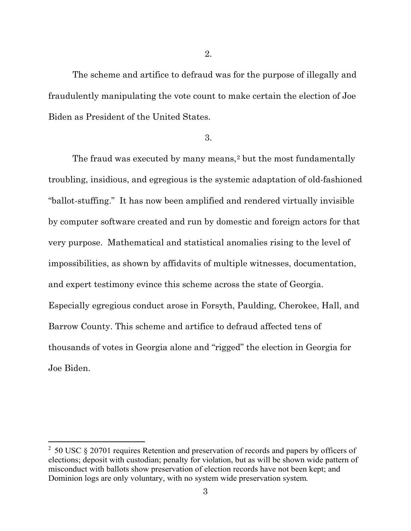The scheme and artifice to defraud was for the purpose of illegally and fraudulently manipulating the vote count to make certain the election of Joe Biden as President of the United States.

3.

The fraud was executed by many means,<sup>[2](#page-2-0)</sup> but the most fundamentally troubling, insidious, and egregious is the systemic adaptation of old-fashioned "ballot-stuffing." It has now been amplified and rendered virtually invisible by computer software created and run by domestic and foreign actors for that very purpose. Mathematical and statistical anomalies rising to the level of impossibilities, as shown by affidavits of multiple witnesses, documentation, and expert testimony evince this scheme across the state of Georgia. Especially egregious conduct arose in Forsyth, Paulding, Cherokee, Hall, and Barrow County. This scheme and artifice to defraud affected tens of thousands of votes in Georgia alone and "rigged" the election in Georgia for Joe Biden.

 $\overline{a}$ 

<span id="page-2-0"></span> $2$  50 USC § 20701 requires Retention and preservation of records and papers by officers of elections; deposit with custodian; penalty for violation, but as will be shown wide pattern of misconduct with ballots show preservation of election records have not been kept; and Dominion logs are only voluntary, with no system wide preservation system*.*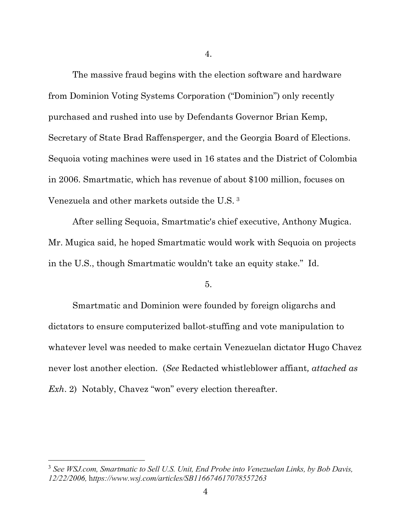The massive fraud begins with the election software and hardware from Dominion Voting Systems Corporation ("Dominion") only recently purchased and rushed into use by Defendants Governor Brian Kemp, Secretary of State Brad Raffensperger, and the Georgia Board of Elections. Sequoia voting machines were used in 16 states and the District of Colombia in 2006. Smartmatic, which has revenue of about \$100 million, focuses on Venezuela and other markets outside the U.S. [3](#page-3-0) 

After selling Sequoia, Smartmatic's chief executive, Anthony Mugica. Mr. Mugica said, he hoped Smartmatic would work with Sequoia on projects in the U.S., though Smartmatic wouldn't take an equity stake." Id.

5.

Smartmatic and Dominion were founded by foreign oligarchs and dictators to ensure computerized ballot-stuffing and vote manipulation to whatever level was needed to make certain Venezuelan dictator Hugo Chavez never lost another election. (*See* Redacted whistleblower affiant*, attached as Exh*. 2) Notably, Chavez "won" every election thereafter.

l

<span id="page-3-0"></span><sup>3</sup> *See WSJ.com, Smartmatic to Sell U.S. Unit, End Probe into Venezuelan Links, by Bob Davis, 12/22/2006,* h*ttps://www.wsj.com/articles/SB116674617078557263*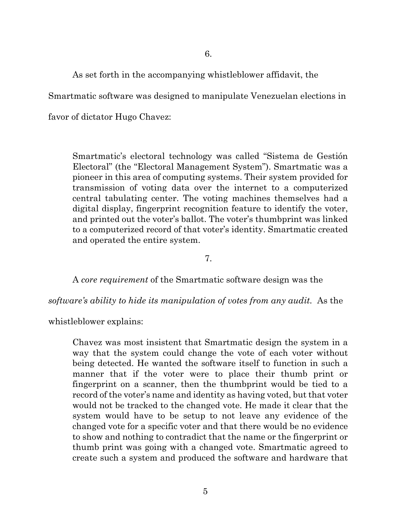As set forth in the accompanying whistleblower affidavit, the

Smartmatic software was designed to manipulate Venezuelan elections in

favor of dictator Hugo Chavez:

Smartmatic's electoral technology was called "Sistema de Gestión Electoral" (the "Electoral Management System"). Smartmatic was a pioneer in this area of computing systems. Their system provided for transmission of voting data over the internet to a computerized central tabulating center. The voting machines themselves had a digital display, fingerprint recognition feature to identify the voter, and printed out the voter's ballot. The voter's thumbprint was linked to a computerized record of that voter's identity. Smartmatic created and operated the entire system.

7.

A *core requirement* of the Smartmatic software design was the

*software's ability to hide its manipulation of votes from any audit.* As the

whistleblower explains:

Chavez was most insistent that Smartmatic design the system in a way that the system could change the vote of each voter without being detected. He wanted the software itself to function in such a manner that if the voter were to place their thumb print or fingerprint on a scanner, then the thumbprint would be tied to a record of the voter's name and identity as having voted, but that voter would not be tracked to the changed vote. He made it clear that the system would have to be setup to not leave any evidence of the changed vote for a specific voter and that there would be no evidence to show and nothing to contradict that the name or the fingerprint or thumb print was going with a changed vote. Smartmatic agreed to create such a system and produced the software and hardware that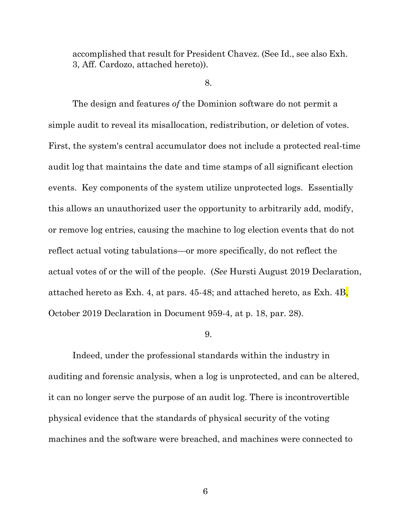accomplished that result for President Chavez. (See Id., see also Exh. 3, Aff. Cardozo, attached hereto)).

#### 8.

The design and features *of* the Dominion software do not permit a simple audit to reveal its misallocation, redistribution, or deletion of votes. First, the system's central accumulator does not include a protected real-time audit log that maintains the date and time stamps of all significant election events. Key components of the system utilize unprotected logs. Essentially this allows an unauthorized user the opportunity to arbitrarily add, modify, or remove log entries, causing the machine to log election events that do not reflect actual voting tabulations—or more specifically, do not reflect the actual votes of or the will of the people. (*See* Hursti August 2019 Declaration, attached hereto as Exh. 4, at pars. 45-48; and attached hereto, as Exh. 4B, October 2019 Declaration in Document 959-4, at p. 18, par. 28).

#### 9.

Indeed, under the professional standards within the industry in auditing and forensic analysis, when a log is unprotected, and can be altered, it can no longer serve the purpose of an audit log. There is incontrovertible physical evidence that the standards of physical security of the voting machines and the software were breached, and machines were connected to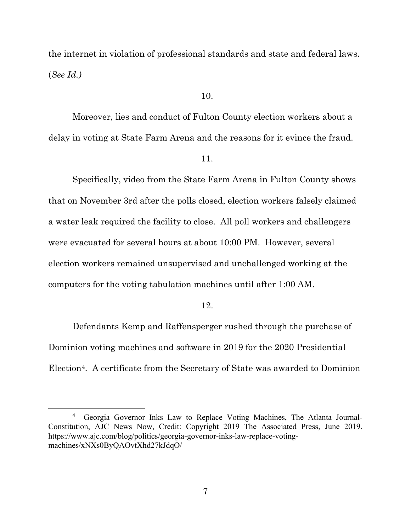the internet in violation of professional standards and state and federal laws. (*See Id.)*

# 10.

Moreover, lies and conduct of Fulton County election workers about a delay in voting at State Farm Arena and the reasons for it evince the fraud.

11.

Specifically, video from the State Farm Arena in Fulton County shows that on November 3rd after the polls closed, election workers falsely claimed a water leak required the facility to close. All poll workers and challengers were evacuated for several hours at about 10:00 PM. However, several election workers remained unsupervised and unchallenged working at the computers for the voting tabulation machines until after 1:00 AM.

# 12.

Defendants Kemp and Raffensperger rushed through the purchase of Dominion voting machines and software in 2019 for the 2020 Presidential Election[4.](#page-6-0) A certificate from the Secretary of State was awarded to Dominion

 $\overline{a}$ 

<span id="page-6-0"></span><sup>&</sup>lt;sup>4</sup> Georgia Governor Inks Law to Replace Voting Machines, The Atlanta Journal-Constitution, AJC News Now, Credit: Copyright 2019 The Associated Press, June 2019. https://www.ajc.com/blog/politics/georgia-governor-inks-law-replace-votingmachines/xNXs0ByQAOvtXhd27kJdqO/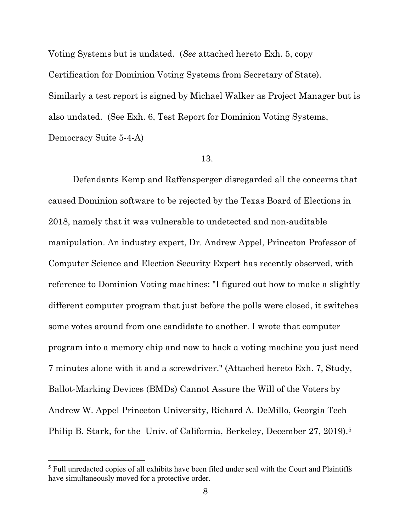Voting Systems but is undated. (*See* attached hereto Exh. 5, copy Certification for Dominion Voting Systems from Secretary of State). Similarly a test report is signed by Michael Walker as Project Manager but is also undated. (See Exh. 6, Test Report for Dominion Voting Systems, Democracy Suite 5-4-A)

# 13.

Defendants Kemp and Raffensperger disregarded all the concerns that caused Dominion software to be rejected by the Texas Board of Elections in 2018, namely that it was vulnerable to undetected and non-auditable manipulation. An industry expert, Dr. Andrew Appel, Princeton Professor of Computer Science and Election Security Expert has recently observed, with reference to Dominion Voting machines: "I figured out how to make a slightly different computer program that just before the polls were closed, it switches some votes around from one candidate to another. I wrote that computer program into a memory chip and now to hack a voting machine you just need 7 minutes alone with it and a screwdriver." (Attached hereto Exh. 7, Study, Ballot-Marking Devices (BMDs) Cannot Assure the Will of the Voters by Andrew W. Appel Princeton University, Richard A. DeMillo, Georgia Tech Philip B. Stark, for the Univ. of California, Berkeley, December 27, 2019).<sup>[5](#page-7-0)</sup>

l

<span id="page-7-0"></span><sup>&</sup>lt;sup>5</sup> Full unredacted copies of all exhibits have been filed under seal with the Court and Plaintiffs have simultaneously moved for a protective order.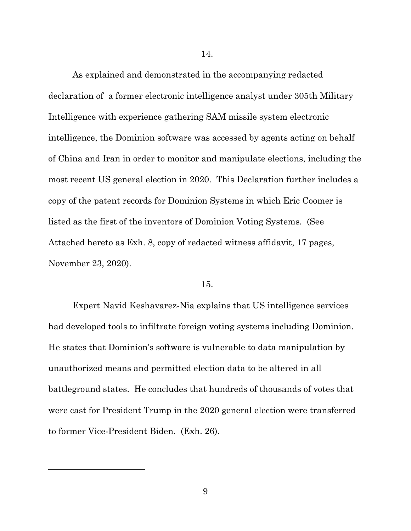As explained and demonstrated in the accompanying redacted declaration of a former electronic intelligence analyst under 305th Military Intelligence with experience gathering SAM missile system electronic intelligence, the Dominion software was accessed by agents acting on behalf of China and Iran in order to monitor and manipulate elections, including the most recent US general election in 2020. This Declaration further includes a copy of the patent records for Dominion Systems in which Eric Coomer is listed as the first of the inventors of Dominion Voting Systems. (See Attached hereto as Exh. 8, copy of redacted witness affidavit, 17 pages, November 23, 2020).

#### 15.

Expert Navid Keshavarez-Nia explains that US intelligence services had developed tools to infiltrate foreign voting systems including Dominion. He states that Dominion's software is vulnerable to data manipulation by unauthorized means and permitted election data to be altered in all battleground states. He concludes that hundreds of thousands of votes that were cast for President Trump in the 2020 general election were transferred to former Vice-President Biden. (Exh. 26).

9

l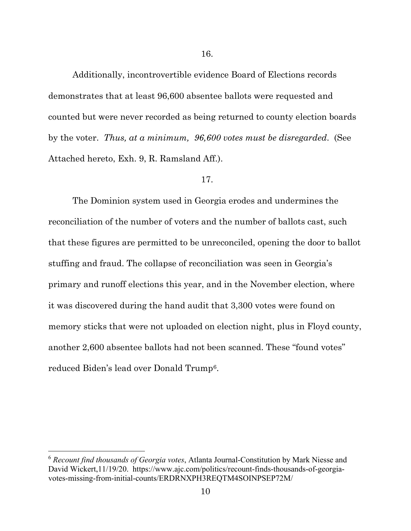Additionally, incontrovertible evidence Board of Elections records demonstrates that at least 96,600 absentee ballots were requested and counted but were never recorded as being returned to county election boards by the voter. *Thus, at a minimum, 96,600 votes must be disregarded*. (See Attached hereto, Exh. 9, R. Ramsland Aff.).

#### 17.

The Dominion system used in Georgia erodes and undermines the reconciliation of the number of voters and the number of ballots cast, such that these figures are permitted to be unreconciled, opening the door to ballot stuffing and fraud. The collapse of reconciliation was seen in Georgia's primary and runoff elections this year, and in the November election, where it was discovered during the hand audit that 3,300 votes were found on memory sticks that were not uploaded on election night, plus in Floyd county, another 2,600 absentee ballots had not been scanned. These "found votes" reduced Biden's lead over Donald Trump[6.](#page-9-0)

 $\overline{a}$ 

<span id="page-9-0"></span><sup>6</sup> *Recount find thousands of Georgia votes*, Atlanta Journal-Constitution by Mark Niesse and David Wickert,11/19/20. https://www.ajc.com/politics/recount-finds-thousands-of-georgiavotes-missing-from-initial-counts/ERDRNXPH3REQTM4SOINPSEP72M/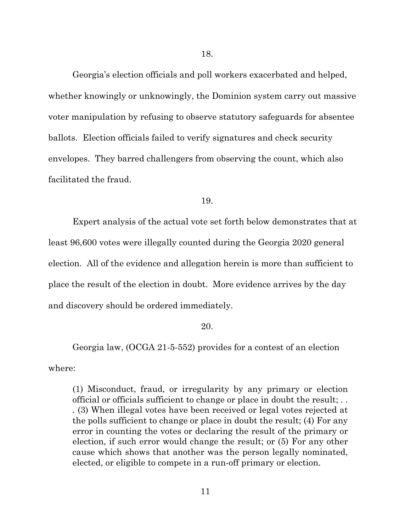Georgia's election officials and poll workers exacerbated and helped, whether knowingly or unknowingly, the Dominion system carry out massive voter manipulation by refusing to observe statutory safeguards for absentee ballots. Election officials failed to verify signatures and check security envelopes. They barred challengers from observing the count, which also facilitated the fraud.

19.

Expert analysis of the actual vote set forth below demonstrates that at least 96,600 votes were illegally counted during the Georgia 2020 general election. All of the evidence and allegation herein is more than sufficient to place the result of the election in doubt. More evidence arrives by the day and discovery should be ordered immediately.

# 20.

Georgia law, (OCGA 21-5-552) provides for a contest of an election where:

(1) Misconduct, fraud, or irregularity by any primary or election official or officials sufficient to change or place in doubt the result; . . . (3) When illegal votes have been received or legal votes rejected at the polls sufficient to change or place in doubt the result; (4) For any error in counting the votes or declaring the result of the primary or election, if such error would change the result; or (5) For any other cause which shows that another was the person legally nominated, elected, or eligible to compete in a run-off primary or election.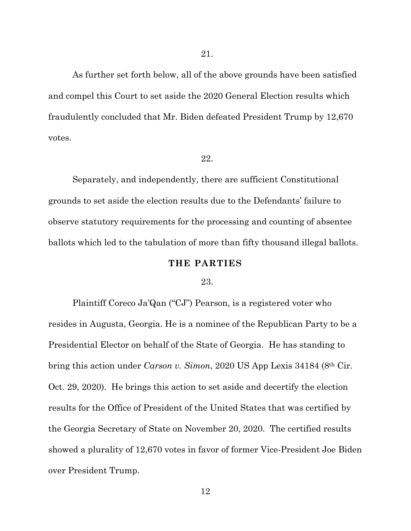As further set forth below, all of the above grounds have been satisfied and compel this Court to set aside the 2020 General Election results which fraudulently concluded that Mr. Biden defeated President Trump by 12,670 votes.

# 22.

Separately, and independently, there are sufficient Constitutional grounds to set aside the election results due to the Defendants' failure to observe statutory requirements for the processing and counting of absentee ballots which led to the tabulation of more than fifty thousand illegal ballots.

#### **THE PARTIES**

#### 23.

Plaintiff Coreco Ja'Qan ("CJ") Pearson, is a registered voter who resides in Augusta, Georgia. He is a nominee of the Republican Party to be a Presidential Elector on behalf of the State of Georgia. He has standing to bring this action under *Carson v. Simon*, 2020 US App Lexis 34184 (8th Cir. Oct. 29, 2020). He brings this action to set aside and decertify the election results for the Office of President of the United States that was certified by the Georgia Secretary of State on November 20, 2020. The certified results showed a plurality of 12,670 votes in favor of former Vice-President Joe Biden over President Trump.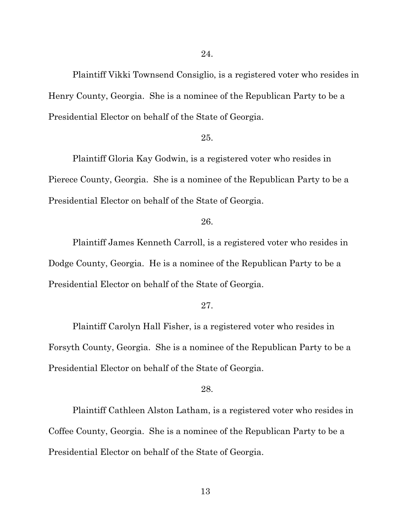Plaintiff Vikki Townsend Consiglio, is a registered voter who resides in Henry County, Georgia. She is a nominee of the Republican Party to be a Presidential Elector on behalf of the State of Georgia.

#### 25.

Plaintiff Gloria Kay Godwin, is a registered voter who resides in Pierece County, Georgia. She is a nominee of the Republican Party to be a Presidential Elector on behalf of the State of Georgia.

# 26.

Plaintiff James Kenneth Carroll, is a registered voter who resides in Dodge County, Georgia. He is a nominee of the Republican Party to be a Presidential Elector on behalf of the State of Georgia.

#### 27.

Plaintiff Carolyn Hall Fisher, is a registered voter who resides in Forsyth County, Georgia. She is a nominee of the Republican Party to be a Presidential Elector on behalf of the State of Georgia.

#### 28.

Plaintiff Cathleen Alston Latham, is a registered voter who resides in Coffee County, Georgia. She is a nominee of the Republican Party to be a Presidential Elector on behalf of the State of Georgia.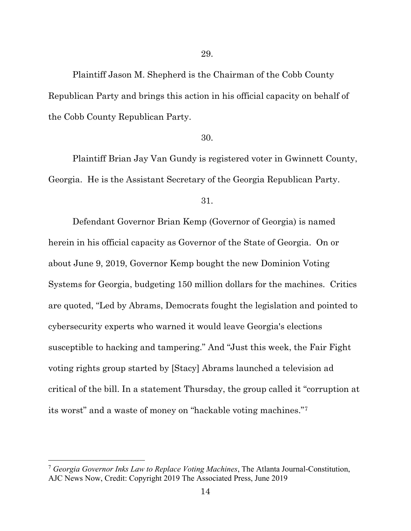Plaintiff Jason M. Shepherd is the Chairman of the Cobb County Republican Party and brings this action in his official capacity on behalf of the Cobb County Republican Party.

# 30.

Plaintiff Brian Jay Van Gundy is registered voter in Gwinnett County, Georgia. He is the Assistant Secretary of the Georgia Republican Party.

31.

Defendant Governor Brian Kemp (Governor of Georgia) is named herein in his official capacity as Governor of the State of Georgia. On or about June 9, 2019, Governor Kemp bought the new Dominion Voting Systems for Georgia, budgeting 150 million dollars for the machines. Critics are quoted, "Led by Abrams, Democrats fought the legislation and pointed to cybersecurity experts who warned it would leave Georgia's elections susceptible to hacking and tampering." And "Just this week, the Fair Fight voting rights group started by [Stacy] Abrams launched a television ad critical of the bill. In a statement Thursday, the group called it "corruption at its worst" and a waste of money on "hackable voting machines."[7](#page-13-0)

l

<span id="page-13-0"></span><sup>7</sup> *Georgia Governor Inks Law to Replace Voting Machines*, The Atlanta Journal-Constitution, AJC News Now, Credit: Copyright 2019 The Associated Press, June 2019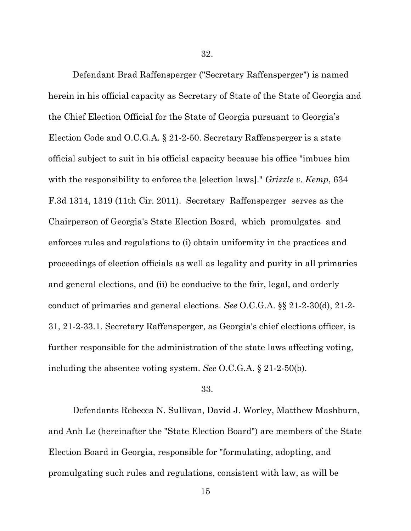32.

Defendant Brad Raffensperger ("Secretary Raffensperger") is named herein in his official capacity as Secretary of State of the State of Georgia and the Chief Election Official for the State of Georgia pursuant to Georgia's Election Code and O.C.G.A. § 21-2-50. Secretary Raffensperger is a state official subject to suit in his official capacity because his office "imbues him with the responsibility to enforce the [election laws]." *Grizzle v. Kemp*, 634 F.3d 1314, 1319 (11th Cir. 2011). Secretary Raffensperger serves as the Chairperson of Georgia's State Election Board, which promulgates and enforces rules and regulations to (i) obtain uniformity in the practices and proceedings of election officials as well as legality and purity in all primaries and general elections, and (ii) be conducive to the fair, legal, and orderly conduct of primaries and general elections. *See* O.C.G.A. §§ 21-2-30(d), 21-2- 31, 21-2-33.1. Secretary Raffensperger, as Georgia's chief elections officer, is further responsible for the administration of the state laws affecting voting, including the absentee voting system. *See* O.C.G.A. § 21-2-50(b).

#### 33.

Defendants Rebecca N. Sullivan, David J. Worley, Matthew Mashburn, and Anh Le (hereinafter the "State Election Board") are members of the State Election Board in Georgia, responsible for "formulating, adopting, and promulgating such rules and regulations, consistent with law, as will be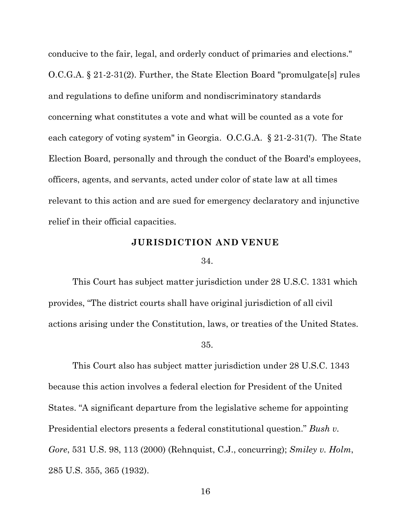conducive to the fair, legal, and orderly conduct of primaries and elections." O.C.G.A. § 21-2-31(2). Further, the State Election Board "promulgate[s] rules and regulations to define uniform and nondiscriminatory standards concerning what constitutes a vote and what will be counted as a vote for each category of voting system" in Georgia. O.C.G.A. § 21-2-31(7). The State Election Board, personally and through the conduct of the Board's employees, officers, agents, and servants, acted under color of state law at all times relevant to this action and are sued for emergency declaratory and injunctive relief in their official capacities.

# **JURISDICTION AND VENUE**

#### 34.

This Court has subject matter jurisdiction under 28 U.S.C. 1331 which provides, "The district courts shall have original jurisdiction of all civil actions arising under the Constitution, laws, or treaties of the United States.

#### 35.

This Court also has subject matter jurisdiction under 28 U.S.C. 1343 because this action involves a federal election for President of the United States. "A significant departure from the legislative scheme for appointing Presidential electors presents a federal constitutional question." *Bush v. Gore*, 531 U.S. 98, 113 (2000) (Rehnquist, C.J., concurring); *Smiley v. Holm*, 285 U.S. 355, 365 (1932).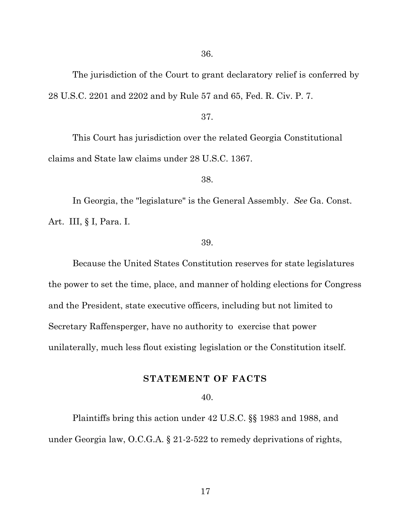36.

The jurisdiction of the Court to grant declaratory relief is conferred by 28 U.S.C. 2201 and 2202 and by Rule 57 and 65, Fed. R. Civ. P. 7.

#### 37.

This Court has jurisdiction over the related Georgia Constitutional claims and State law claims under 28 U.S.C. 1367.

#### 38.

In Georgia, the "legislature" is the General Assembly. *See* Ga. Const. Art. III, § I, Para. I.

#### 39.

Because the United States Constitution reserves for state legislatures the power to set the time, place, and manner of holding elections for Congress and the President, state executive officers, including but not limited to Secretary Raffensperger, have no authority to exercise that power unilaterally, much less flout existing legislation or the Constitution itself.

# **STATEMENT OF FACTS**

# 40.

Plaintiffs bring this action under 42 U.S.C. §§ 1983 and 1988, and under Georgia law, O.C.G.A. § 21-2-522 to remedy deprivations of rights,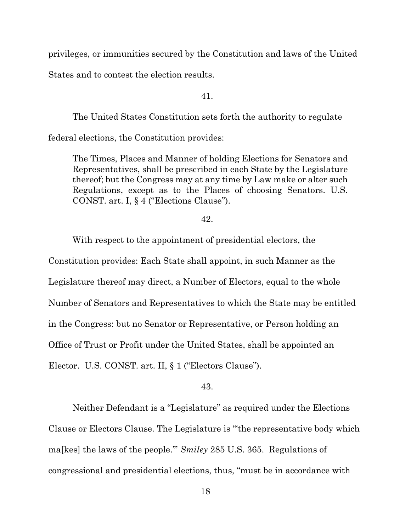privileges, or immunities secured by the Constitution and laws of the United

States and to contest the election results.

41.

The United States Constitution sets forth the authority to regulate

federal elections, the Constitution provides:

The Times, Places and Manner of holding Elections for Senators and Representatives, shall be prescribed in each State by the Legislature thereof; but the Congress may at any time by Law make or alter such Regulations, except as to the Places of choosing Senators. U.S. CONST. art. I, § 4 ("Elections Clause").

42.

With respect to the appointment of presidential electors, the

Constitution provides: Each State shall appoint, in such Manner as the Legislature thereof may direct, a Number of Electors, equal to the whole Number of Senators and Representatives to which the State may be entitled in the Congress: but no Senator or Representative, or Person holding an Office of Trust or Profit under the United States, shall be appointed an Elector. U.S. CONST. art. II, § 1 ("Electors Clause").

43.

Neither Defendant is a "Legislature" as required under the Elections Clause or Electors Clause. The Legislature is "'the representative body which ma[kes] the laws of the people.'" *Smiley* 285 U.S. 365. Regulations of congressional and presidential elections, thus, "must be in accordance with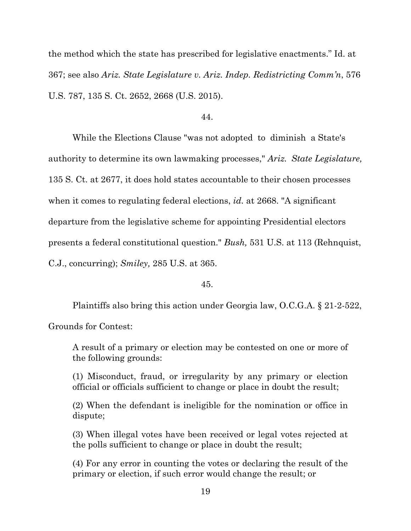the method which the state has prescribed for legislative enactments." Id. at 367; see also *Ariz. State Legislature v. Ariz. Indep. Redistricting Comm'n*, 576 U.S. 787, 135 S. Ct. 2652, 2668 (U.S. 2015).

44.

While the Elections Clause "was not adopted to diminish a State's authority to determine its own lawmaking processes," *Ariz. State Legislature,*  135 S. Ct. at 2677, it does hold states accountable to their chosen processes when it comes to regulating federal elections, *id.* at 2668. "A significant departure from the legislative scheme for appointing Presidential electors presents a federal constitutional question." *Bush,* 531 U.S. at 113 (Rehnquist, C.J., concurring); *Smiley,* 285 U.S. at 365.

45.

Plaintiffs also bring this action under Georgia law, O.C.G.A. § 21-2-522,

Grounds for Contest:

A result of a primary or election may be contested on one or more of the following grounds:

(1) Misconduct, fraud, or irregularity by any primary or election official or officials sufficient to change or place in doubt the result;

(2) When the defendant is ineligible for the nomination or office in dispute;

(3) When illegal votes have been received or legal votes rejected at the polls sufficient to change or place in doubt the result;

(4) For any error in counting the votes or declaring the result of the primary or election, if such error would change the result; or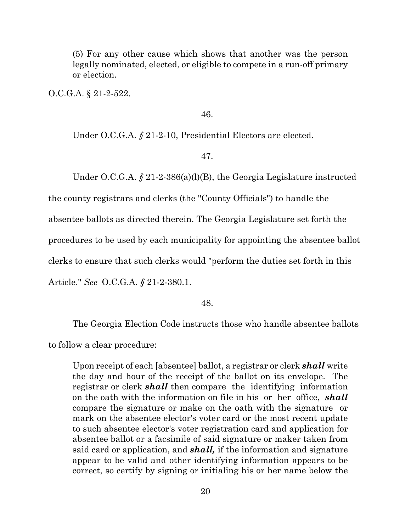(5) For any other cause which shows that another was the person legally nominated, elected, or eligible to compete in a run-off primary or election.

O.C.G.A. § 21-2-522.

# 46.

Under O.C.G.A. § 21-2-10, Presidential Electors are elected.

# 47.

Under O.C.G.A.  $\oint$  21-2-386(a)(l)(B), the Georgia Legislature instructed

the county registrars and clerks (the "County Officials") to handle the

absentee ballots as directed therein. The Georgia Legislature set forth the

procedures to be used by each municipality for appointing the absentee ballot

clerks to ensure that such clerks would "perform the duties set forth in this

Article." *See* O.C.G.A. *§* 21-2-380.1.

#### 48.

The Georgia Election Code instructs those who handle absentee ballots

to follow a clear procedure:

Upon receipt of each [absentee] ballot, a registrar or clerk *shall* write the day and hour of the receipt of the ballot on its envelope. The registrar or clerk *shall* then compare the identifying information on the oath with the information on file in his or her office, *shall*  compare the signature or make on the oath with the signature or mark on the absentee elector's voter card or the most recent update to such absentee elector's voter registration card and application for absentee ballot or a facsimile of said signature or maker taken from said card or application, and *shall,* if the information and signature appear to be valid and other identifying information appears to be correct, so certify by signing or initialing his or her name below the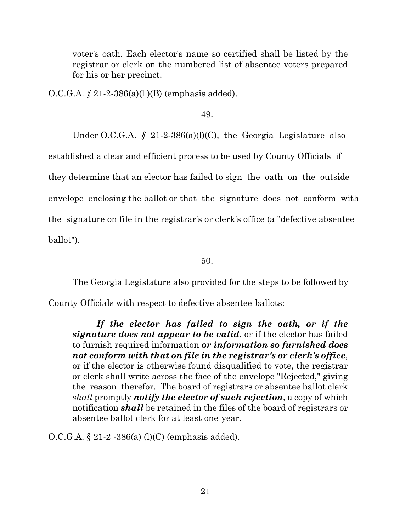voter's oath. Each elector's name so certified shall be listed by the registrar or clerk on the numbered list of absentee voters prepared for his or her precinct.

O.C.G.A. *§* 21-2-386(a)(l )(B) (emphasis added).

49.

Under O.C.G.A. § 21-2-386(a)(l)(C), the Georgia Legislature also established a clear and efficient process to be used by County Officials if they determine that an elector has failed to sign the oath on the outside envelope enclosing the ballot or that the signature does not conform with the signature on file in the registrar's or clerk's office (a "defective absentee ballot").

50.

The Georgia Legislature also provided for the steps to be followed by

County Officials with respect to defective absentee ballots:

*If the elector has failed to sign the oath, or if the signature does not appear to be valid*, or if the elector has failed to furnish required information *or information so furnished does not conform with that on file in the registrar's or clerk's office*, or if the elector is otherwise found disqualified to vote, the registrar or clerk shall write across the face of the envelope "Rejected," giving the reason therefor. The board of registrars or absentee ballot clerk *shall* promptly *notify the elector of such rejection*, a copy of which notification *shall* be retained in the files of the board of registrars or absentee ballot clerk for at least one year.

O.C.G.A. § 21-2 -386(a) (l)(C) (emphasis added).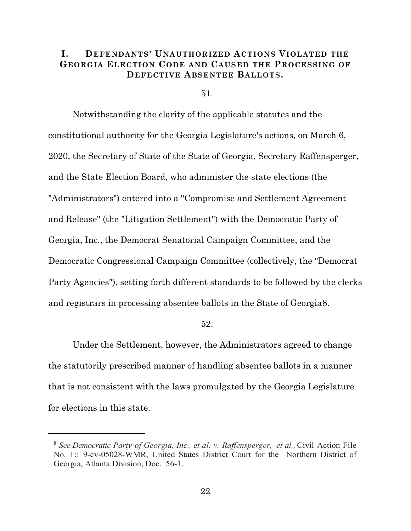# **I. DEFENDANTS' UNAUTHORIZED ACTIONS VIOLATED THE GEORGIA ELECTION CODE AND CAUSED THE PROCESSING OF DEFECTIVE ABSENTEE BALLOTS.**

51.

Notwithstanding the clarity of the applicable statutes and the constitutional authority for the Georgia Legislature's actions, on March 6, 2020, the Secretary of State of the State of Georgia, Secretary Raffensperger, and the State Election Board, who administer the state elections (the "Administrators") entered into a "Compromise and Settlement Agreement and Release" (the "Litigation Settlement") with the Democratic Party of Georgia, Inc., the Democrat Senatorial Campaign Committee, and the Democratic Congressional Campaign Committee (collectively, the "Democrat Party Agencies"), setting forth different standards to be followed by the clerks and registrars in processing absentee ballots in the State of Georgia[8.](#page-21-0)

52.

Under the Settlement, however, the Administrators agreed to change the statutorily prescribed manner of handling absentee ballots in a manner that is not consistent with the laws promulgated by the Georgia Legislature for elections in this state.

<span id="page-21-0"></span>

<sup>8</sup> *See Democratic Party of Georgia, Inc., et al. v. Raffensperger, et al.,* Civil Action File No. 1:l 9-cv-05028-WMR, United States District Court for the Northern District of Georgia, Atlanta Division, Doc. 56-1.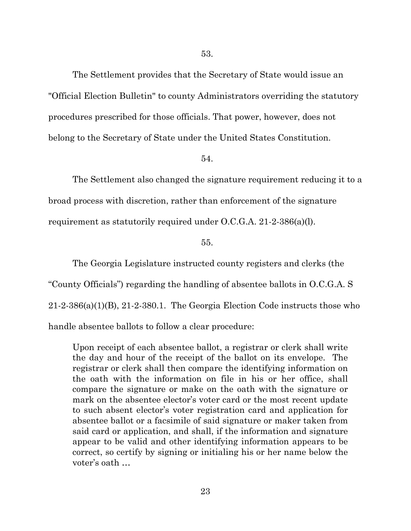The Settlement provides that the Secretary of State would issue an "Official Election Bulletin" to county Administrators overriding the statutory procedures prescribed for those officials. That power, however, does not belong to the Secretary of State under the United States Constitution.

# 54.

The Settlement also changed the signature requirement reducing it to a broad process with discretion, rather than enforcement of the signature requirement as statutorily required under O.C.G.A. 21-2-386(a)(l).

# 55.

The Georgia Legislature instructed county registers and clerks (the "County Officials") regarding the handling of absentee ballots in O.C.G.A. S  $21-2-386(a)(1)(B)$ ,  $21-2-380.1$ . The Georgia Election Code instructs those who handle absentee ballots to follow a clear procedure:

Upon receipt of each absentee ballot, a registrar or clerk shall write the day and hour of the receipt of the ballot on its envelope. The registrar or clerk shall then compare the identifying information on the oath with the information on file in his or her office, shall compare the signature or make on the oath with the signature or mark on the absentee elector's voter card or the most recent update to such absent elector's voter registration card and application for absentee ballot or a facsimile of said signature or maker taken from said card or application, and shall, if the information and signature appear to be valid and other identifying information appears to be correct, so certify by signing or initialing his or her name below the voter's oath …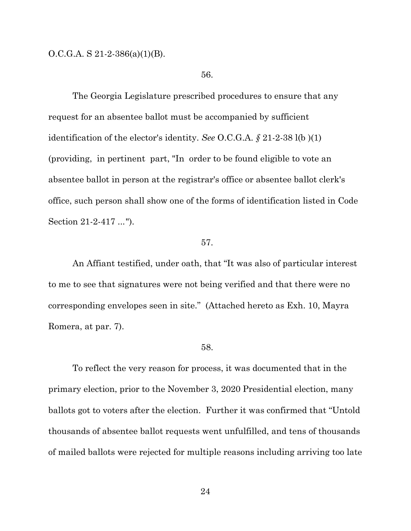O.C.G.A. S 21-2-386(a)(1)(B).

## 56.

The Georgia Legislature prescribed procedures to ensure that any request for an absentee ballot must be accompanied by sufficient identification of the elector's identity. *See* O.C.G.A. *§* 21-2-38 l(b )(1) (providing, in pertinent part, "In order to be found eligible to vote an absentee ballot in person at the registrar's office or absentee ballot clerk's office, such person shall show one of the forms of identification listed in Code Section 21-2-417 ...").

#### 57.

An Affiant testified, under oath, that "It was also of particular interest to me to see that signatures were not being verified and that there were no corresponding envelopes seen in site." (Attached hereto as Exh. 10, Mayra Romera, at par. 7).

# 58.

To reflect the very reason for process, it was documented that in the primary election, prior to the November 3, 2020 Presidential election, many ballots got to voters after the election. Further it was confirmed that "Untold thousands of absentee ballot requests went unfulfilled, and tens of thousands of mailed ballots were rejected for multiple reasons including arriving too late

24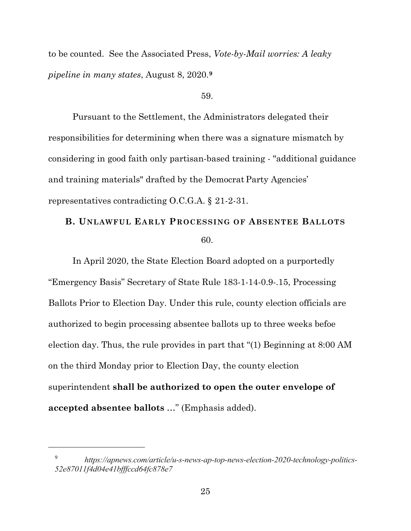to be counted. See the Associated Press, *Vote-by-Mail worries: A leaky pipeline in many states*, August 8, 2020.**[9](#page-24-0)**

#### 59.

Pursuant to the Settlement, the Administrators delegated their responsibilities for determining when there was a signature mismatch by considering in good faith only partisan-based training - "additional guidance and training materials" drafted by the Democrat Party Agencies' representatives contradicting O.C.G.A. § 21-2-31.

# **B. UNLAWFUL EARLY PROCESSING OF ABSENTEE BALLOTS** 60.

In April 2020, the State Election Board adopted on a purportedly "Emergency Basis" Secretary of State Rule 183-1-14-0.9-.15, Processing Ballots Prior to Election Day. Under this rule, county election officials are authorized to begin processing absentee ballots up to three weeks befoe election day. Thus, the rule provides in part that "(1) Beginning at 8:00 AM on the third Monday prior to Election Day, the county election superintendent **shall be authorized to open the outer envelope of accepted absentee ballots** …" (Emphasis added).

<span id="page-24-0"></span> $\overline{a}$ 

<sup>9</sup> *https://apnews.com/article/u-s-news-ap-top-news-election-2020-technology-politics-52e87011f4d04e41bfffccd64fc878e7*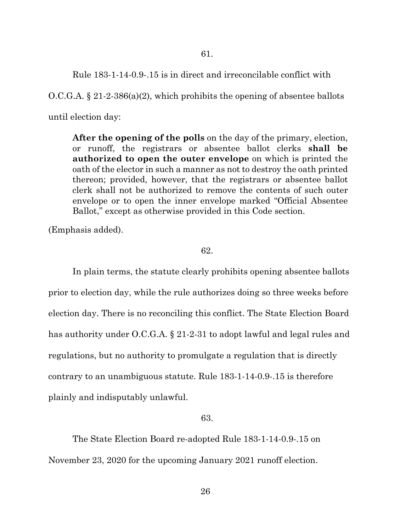Rule 183-1-14-0.9-.15 is in direct and irreconcilable conflict with

O.C.G.A. § 21-2-386(a)(2), which prohibits the opening of absentee ballots until election day:

**After the opening of the polls** on the day of the primary, election, or runoff, the registrars or absentee ballot clerks **shall be authorized to open the outer envelope** on which is printed the oath of the elector in such a manner as not to destroy the oath printed thereon; provided, however, that the registrars or absentee ballot clerk shall not be authorized to remove the contents of such outer envelope or to open the inner envelope marked "Official Absentee Ballot," except as otherwise provided in this Code section.

(Emphasis added).

# 62.

In plain terms, the statute clearly prohibits opening absentee ballots prior to election day, while the rule authorizes doing so three weeks before election day. There is no reconciling this conflict. The State Election Board has authority under O.C.G.A. § 21-2-31 to adopt lawful and legal rules and regulations, but no authority to promulgate a regulation that is directly contrary to an unambiguous statute. Rule 183-1-14-0.9-.15 is therefore plainly and indisputably unlawful.

# 63.

The State Election Board re-adopted Rule 183-1-14-0.9-.15 on November 23, 2020 for the upcoming January 2021 runoff election.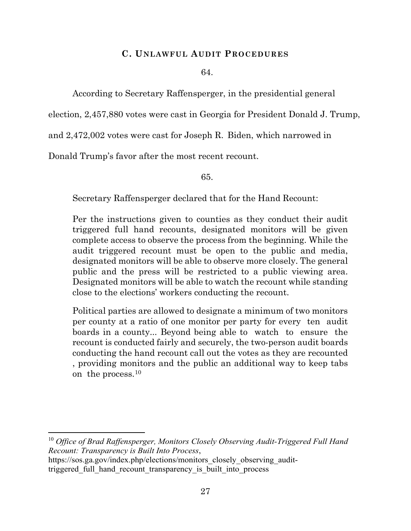# **C. UNLAWFUL AUDIT PROCEDURES**

## 64.

According to Secretary Raffensperger, in the presidential general

election, 2,457,880 votes were cast in Georgia for President Donald J. Trump,

and 2,472,002 votes were cast for Joseph R. Biden, which narrowed in

Donald Trump's favor after the most recent recount.

65.

Secretary Raffensperger declared that for the Hand Recount:

Per the instructions given to counties as they conduct their audit triggered full hand recounts, designated monitors will be given complete access to observe the process from the beginning. While the audit triggered recount must be open to the public and media, designated monitors will be able to observe more closely. The general public and the press will be restricted to a public viewing area. Designated monitors will be able to watch the recount while standing close to the elections' workers conducting the recount.

Political parties are allowed to designate a minimum of two monitors per county at a ratio of one monitor per party for every ten audit boards in a county... Beyond being able to watch to ensure the recount is conducted fairly and securely, the two-person audit boards conducting the hand recount call out the votes as they are recounted , providing monitors and the public an additional way to keep tabs on the process.[10](#page-26-0)

<span id="page-26-0"></span><sup>10</sup> *Office of Brad Raffensperger, Monitors Closely Observing Audit-Triggered Full Hand Recount: Transparency is Built Into Process*,

 $\overline{a}$ 

https://sos.ga.gov/index.php/elections/monitors\_closely\_observing\_audittriggered full hand recount transparency is built into process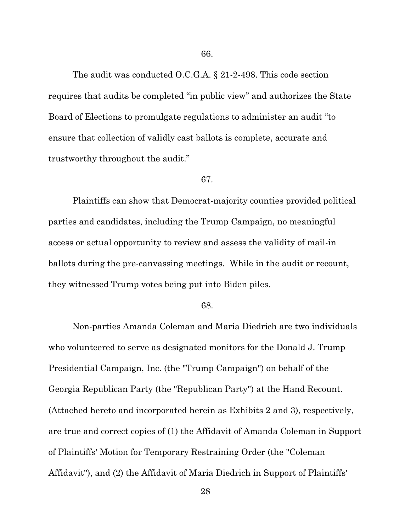The audit was conducted O.C.G.A. § 21-2-498. This code section requires that audits be completed "in public view" and authorizes the State Board of Elections to promulgate regulations to administer an audit "to ensure that collection of validly cast ballots is complete, accurate and trustworthy throughout the audit."

#### 67.

Plaintiffs can show that Democrat-majority counties provided political parties and candidates, including the Trump Campaign, no meaningful access or actual opportunity to review and assess the validity of mail-in ballots during the pre-canvassing meetings. While in the audit or recount, they witnessed Trump votes being put into Biden piles.

#### 68.

Non-parties Amanda Coleman and Maria Diedrich are two individuals who volunteered to serve as designated monitors for the Donald J. Trump Presidential Campaign, Inc. (the "Trump Campaign") on behalf of the Georgia Republican Party (the "Republican Party") at the Hand Recount. (Attached hereto and incorporated herein as Exhibits 2 and 3), respectively, are true and correct copies of (1) the Affidavit of Amanda Coleman in Support of Plaintiffs' Motion for Temporary Restraining Order (the "Coleman Affidavit"), and (2) the Affidavit of Maria Diedrich in Support of Plaintiffs'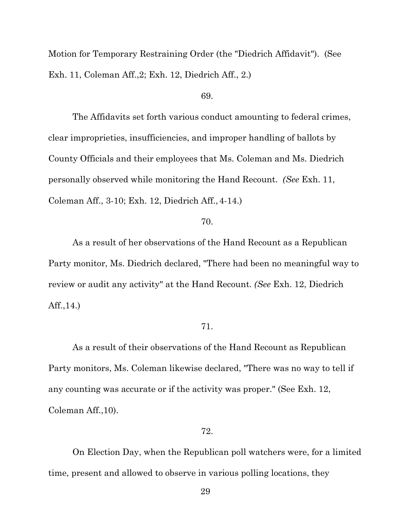Motion for Temporary Restraining Order (the "Diedrich Affidavit"). (See Exh. 11, Coleman Aff.,2; Exh. 12, Diedrich Aff., 2.)

# 69.

The Affidavits set forth various conduct amounting to federal crimes, clear improprieties, insufficiencies, and improper handling of ballots by County Officials and their employees that Ms. Coleman and Ms. Diedrich personally observed while monitoring the Hand Recount. *(See* Exh. 11, Coleman Aff., 3-10; Exh. 12, Diedrich Aff., 4-14.)

# 70.

As a result of her observations of the Hand Recount as a Republican Party monitor, Ms. Diedrich declared, "There had been no meaningful way to review or audit any activity" at the Hand Recount. *(See* Exh. 12, Diedrich Aff.,14.)

# 71.

As a result of their observations of the Hand Recount as Republican Party monitors, Ms. Coleman likewise declared, "There was no way to tell if any counting was accurate or if the activity was proper." (See Exh. 12, Coleman Aff.,10).

# 72.

On Election Day, when the Republican poll watchers were, for a limited time, present and allowed to observe in various polling locations, they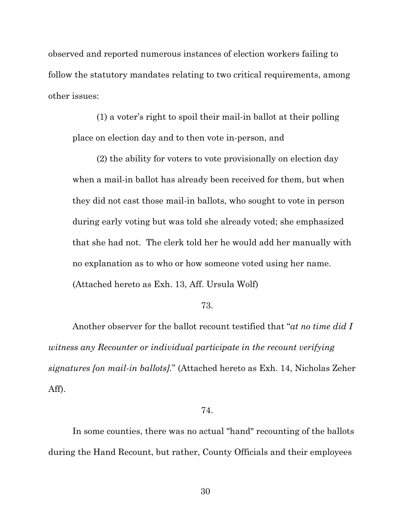observed and reported numerous instances of election workers failing to follow the statutory mandates relating to two critical requirements, among other issues:

(1) a voter's right to spoil their mail-in ballot at their polling place on election day and to then vote in-person, and

(2) the ability for voters to vote provisionally on election day when a mail-in ballot has already been received for them, but when they did not cast those mail-in ballots, who sought to vote in person during early voting but was told she already voted; she emphasized that she had not. The clerk told her he would add her manually with no explanation as to who or how someone voted using her name. (Attached hereto as Exh. 13, Aff. Ursula Wolf)

#### 73.

Another observer for the ballot recount testified that "*at no time did I witness any Recounter or individual participate in the recount verifying signatures [on mail-in ballots].*" (Attached hereto as Exh. 14, Nicholas Zeher Aff).

# 74.

In some counties, there was no actual "hand" recounting of the ballots during the Hand Recount, but rather, County Officials and their employees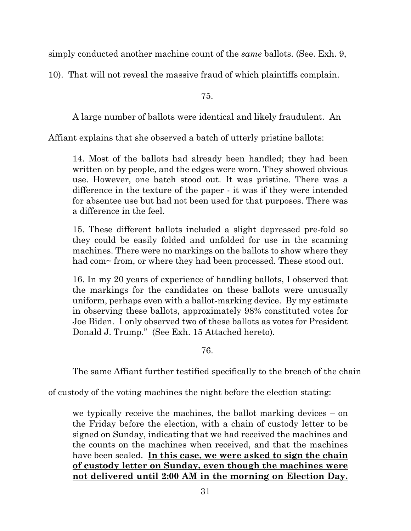simply conducted another machine count of the *same* ballots. (See. Exh. 9,

10). That will not reveal the massive fraud of which plaintiffs complain.

75.

A large number of ballots were identical and likely fraudulent. An

Affiant explains that she observed a batch of utterly pristine ballots:

14. Most of the ballots had already been handled; they had been written on by people, and the edges were worn. They showed obvious use. However, one batch stood out. It was pristine. There was a difference in the texture of the paper - it was if they were intended for absentee use but had not been used for that purposes. There was a difference in the feel.

15. These different ballots included a slight depressed pre-fold so they could be easily folded and unfolded for use in the scanning machines. There were no markings on the ballots to show where they had com~ from, or where they had been processed. These stood out.

16. In my 20 years of experience of handling ballots, I observed that the markings for the candidates on these ballots were unusually uniform, perhaps even with a ballot-marking device. By my estimate in observing these ballots, approximately 98% constituted votes for Joe Biden. I only observed two of these ballots as votes for President Donald J. Trump." (See Exh. 15 Attached hereto).

76.

The same Affiant further testified specifically to the breach of the chain

of custody of the voting machines the night before the election stating:

we typically receive the machines, the ballot marking devices – on the Friday before the election, with a chain of custody letter to be signed on Sunday, indicating that we had received the machines and the counts on the machines when received, and that the machines have been sealed. **In this case, we were asked to sign the chain of custody letter on Sunday, even though the machines were not delivered until 2:00 AM in the morning on Election Day.**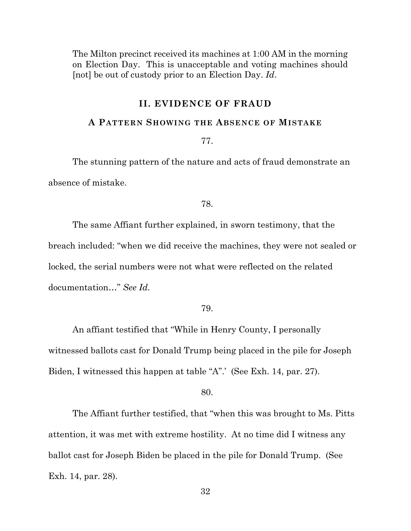The Milton precinct received its machines at 1:00 AM in the morning on Election Day. This is unacceptable and voting machines should [not] be out of custody prior to an Election Day. *Id*.

# **II. EVIDENCE OF FRAUD**

# **A PATTERN SHOWING THE ABSENCE OF MISTAKE**

77.

The stunning pattern of the nature and acts of fraud demonstrate an absence of mistake.

78.

The same Affiant further explained, in sworn testimony, that the breach included: "when we did receive the machines, they were not sealed or locked, the serial numbers were not what were reflected on the related documentation…" *See Id.*

79.

An affiant testified that "While in Henry County, I personally witnessed ballots cast for Donald Trump being placed in the pile for Joseph Biden, I witnessed this happen at table "A".' (See Exh. 14, par. 27).

80.

The Affiant further testified, that "when this was brought to Ms. Pitts attention, it was met with extreme hostility. At no time did I witness any ballot cast for Joseph Biden be placed in the pile for Donald Trump. (See Exh. 14, par. 28).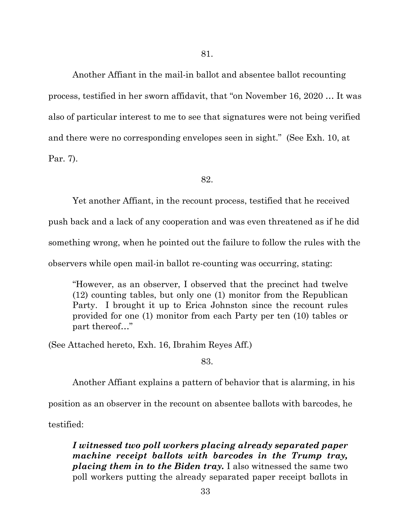Another Affiant in the mail-in ballot and absentee ballot recounting process, testified in her sworn affidavit, that "on November 16, 2020 … It was also of particular interest to me to see that signatures were not being verified and there were no corresponding envelopes seen in sight." (See Exh. 10, at Par. 7).

82.

Yet another Affiant, in the recount process, testified that he received

push back and a lack of any cooperation and was even threatened as if he did

something wrong, when he pointed out the failure to follow the rules with the

observers while open mail-in ballot re-counting was occurring, stating:

"However, as an observer, I observed that the precinct had twelve (12) counting tables, but only one (1) monitor from the Republican Party. I brought it up to Erica Johnston since the recount rules provided for one (1) monitor from each Party per ten (10) tables or part thereof…"

(See Attached hereto, Exh. 16, Ibrahim Reyes Aff.)

83.

Another Affiant explains a pattern of behavior that is alarming, in his

position as an observer in the recount on absentee ballots with barcodes, he

testified:

*I witnessed two poll workers placing already separated paper machine receipt ballots with barcodes in the Trump tray, placing them in to the Biden tray.* I also witnessed the same two poll workers putting the already separated paper receipt b*a*llots in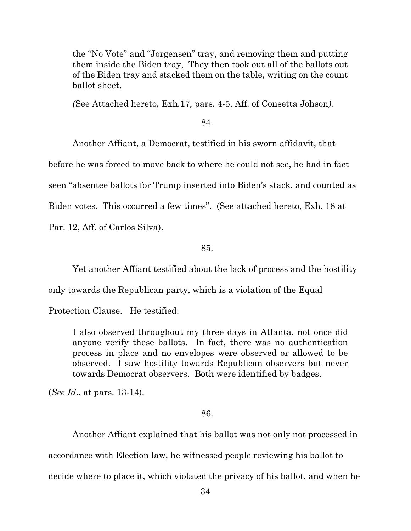the "No Vote" and "Jorgensen" tray, and removing them and putting them inside the Biden tray, They then took out all of the ballots out of the Biden tray and stacked them on the table, writing on the count ballot sheet.

*(*See Attached hereto, Exh*.*17*,* pars. 4-5, Aff. of Consetta Johson*).*

84.

Another Affiant, a Democrat, testified in his sworn affidavit, that

before he was forced to move back to where he could not see, he had in fact

seen "absentee ballots for Trump inserted into Biden's stack, and counted as

Biden votes. This occurred a few times". (See attached hereto, Exh. 18 at

Par. 12, Aff. of Carlos Silva).

85.

Yet another Affiant testified about the lack of process and the hostility

only towards the Republican party, which is a violation of the Equal

Protection Clause. He testified:

I also observed throughout my three days in Atlanta, not once did anyone verify these ballots. In fact, there was no authentication process in place and no envelopes were observed or allowed to be observed. I saw hostility towards Republican observers but never towards Democrat observers. Both were identified by badges.

(*See Id*., at pars. 13-14).

# 86.

Another Affiant explained that his ballot was not only not processed in accordance with Election law, he witnessed people reviewing his ballot to decide where to place it, which violated the privacy of his ballot, and when he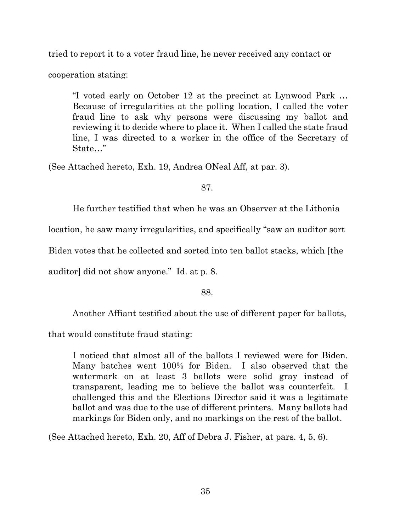tried to report it to a voter fraud line, he never received any contact or

cooperation stating:

"I voted early on October 12 at the precinct at Lynwood Park … Because of irregularities at the polling location, I called the voter fraud line to ask why persons were discussing my ballot and reviewing it to decide where to place it. When I called the state fraud line, I was directed to a worker in the office of the Secretary of State…"

(See Attached hereto, Exh. 19, Andrea ONeal Aff, at par. 3).

87.

He further testified that when he was an Observer at the Lithonia

location, he saw many irregularities, and specifically "saw an auditor sort

Biden votes that he collected and sorted into ten ballot stacks, which [the

auditor] did not show anyone." Id. at p. 8.

88.

Another Affiant testified about the use of different paper for ballots,

that would constitute fraud stating:

I noticed that almost all of the ballots I reviewed were for Biden. Many batches went 100% for Biden. I also observed that the watermark on at least 3 ballots were solid gray instead of transparent, leading me to believe the ballot was counterfeit. I challenged this and the Elections Director said it was a legitimate ballot and was due to the use of different printers. Many ballots had markings for Biden only, and no markings on the rest of the ballot.

(See Attached hereto, Exh. 20, Aff of Debra J. Fisher, at pars. 4, 5, 6).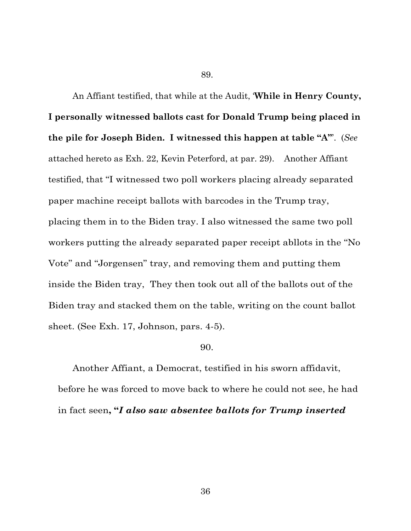89.

An Affiant testified, that while at the Audit, '**While in Henry County, I personally witnessed ballots cast for Donald Trump being placed in the pile for Joseph Biden. I witnessed this happen at table "A"**'. (*See* attached hereto as Exh. 22, Kevin Peterford, at par. 29). Another Affiant testified, that "I witnessed two poll workers placing already separated paper machine receipt ballots with barcodes in the Trump tray, placing them in to the Biden tray. I also witnessed the same two poll workers putting the already separated paper receipt abllots in the "No Vote" and "Jorgensen" tray, and removing them and putting them inside the Biden tray, They then took out all of the ballots out of the Biden tray and stacked them on the table, writing on the count ballot sheet. (See Exh. 17, Johnson, pars. 4-5).

#### 90.

Another Affiant, a Democrat, testified in his sworn affidavit, before he was forced to move back to where he could not see, he had in fact seen**, "***I also saw absentee ballots for Trump inserted*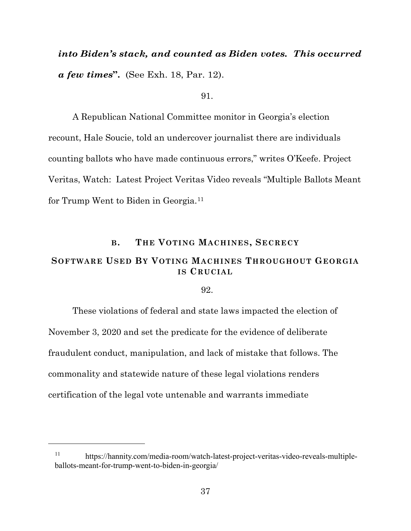# *into Biden's stack, and counted as Biden votes. This occurred a few times***".** (See Exh. 18, Par. 12).

#### 91.

A Republican National Committee monitor in Georgia's election recount, Hale Soucie, told an undercover journalist there are individuals counting ballots who have made continuous errors," writes O'Keefe. Project Veritas, Watch: Latest Project Veritas Video reveals "Multiple Ballots Meant for Trump Went to Biden in Georgia.[11](#page-36-0) 

#### **B. THE VOTING MACHINES, SECRECY**

## **SOFTWARE USED BY VOTING MACHINES THROUGHOUT GEORGIA IS CRUCIAL**

92.

These violations of federal and state laws impacted the election of November 3, 2020 and set the predicate for the evidence of deliberate fraudulent conduct, manipulation, and lack of mistake that follows. The commonality and statewide nature of these legal violations renders certification of the legal vote untenable and warrants immediate

<span id="page-36-0"></span> $\overline{a}$ 

<sup>11</sup> https://hannity.com/media-room/watch-latest-project-veritas-video-reveals-multipleballots-meant-for-trump-went-to-biden-in-georgia/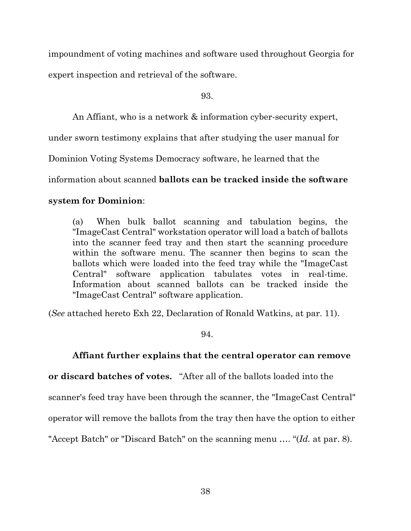impoundment of voting machines and software used throughout Georgia for expert inspection and retrieval of the software.

93.

An Affiant, who is a network & information cyber-security expert,

under sworn testimony explains that after studying the user manual for

Dominion Voting Systems Democracy software, he learned that the

information about scanned **ballots can be tracked inside the software** 

### **system for Dominion**:

(a) When bulk ballot scanning and tabulation begins, the "ImageCast Central" workstation operator will load a batch of ballots into the scanner feed tray and then start the scanning procedure within the software menu. The scanner then begins to scan the ballots which were loaded into the feed tray while the "ImageCast Central" software application tabulates votes in real-time. Information about scanned ballots can be tracked inside the "ImageCast Central" software application.

(*See* attached hereto Exh 22, Declaration of Ronald Watkins, at par. 11).

94.

### **Affiant further explains that the central operator can remove**

**or discard batches of votes.** "After all of the ballots loaded into the

scanner's feed tray have been through the scanner, the "ImageCast Central"

operator will remove the ballots from the tray then have the option to either

"Accept Batch" or "Discard Batch" on the scanning menu …. "(*Id.* at par. 8).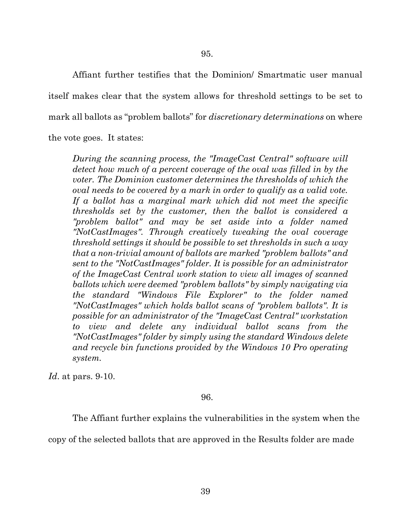Affiant further testifies that the Dominion/ Smartmatic user manual itself makes clear that the system allows for threshold settings to be set to mark all ballots as "problem ballots" for *discretionary determinations* on where the vote goes. It states:

*During the scanning process, the "ImageCast Central" software will detect how much of a percent coverage of the oval was filled in by the voter. The Dominion customer determines the thresholds of which the oval needs to be covered by a mark in order to qualify as a valid vote. If a ballot has a marginal mark which did not meet the specific thresholds set by the customer, then the ballot is considered a "problem ballot" and may be set aside into a folder named "NotCastImages". Through creatively tweaking the oval coverage threshold settings it should be possible to set thresholds in such a way that a non-trivial amount of ballots are marked "problem ballots" and sent to the "NotCastImages" folder. It is possible for an administrator of the ImageCast Central work station to view all images of scanned ballots which were deemed "problem ballots" by simply navigating via the standard "Windows File Explorer" to the folder named "NotCastImages" which holds ballot scans of "problem ballots". It is possible for an administrator of the "ImageCast Central" workstation to view and delete any individual ballot scans from the "NotCastImages" folder by simply using the standard Windows delete and recycle bin functions provided by the Windows 10 Pro operating system.*

*Id*. at pars. 9-10.

96.

The Affiant further explains the vulnerabilities in the system when the

copy of the selected ballots that are approved in the Results folder are made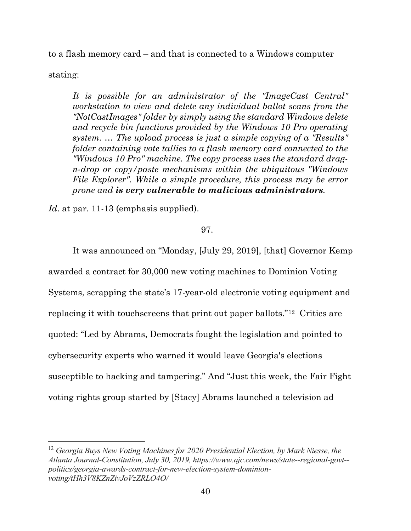to a flash memory card – and that is connected to a Windows computer

stating:

 $\overline{a}$ 

*It is possible for an administrator of the "ImageCast Central" workstation to view and delete any individual ballot scans from the "NotCastImages" folder by simply using the standard Windows delete and recycle bin functions provided by the Windows 10 Pro operating system. … The upload process is just a simple copying of a "Results" folder containing vote tallies to a flash memory card connected to the "Windows 10 Pro" machine. The copy process uses the standard dragn-drop or copy/paste mechanisms within the ubiquitous "Windows File Explorer". While a simple procedure, this process may be error prone and is very vulnerable to malicious administrators.* 

*Id*. at par. 11-13 (emphasis supplied).

#### 97.

It was announced on "Monday, [July 29, 2019], [that] Governor Kemp awarded a contract for 30,000 new voting machines to Dominion Voting Systems, scrapping the state's 17-year-old electronic voting equipment and replacing it with touchscreens that print out paper ballots."[12](#page-39-0) Critics are quoted: "Led by Abrams, Democrats fought the legislation and pointed to cybersecurity experts who warned it would leave Georgia's elections susceptible to hacking and tampering." And "Just this week, the Fair Fight voting rights group started by [Stacy] Abrams launched a television ad

<span id="page-39-0"></span><sup>12</sup> *Georgia Buys New Voting Machines for 2020 Presidential Election, by Mark Niesse, the Atlanta Journal-Constitution, July 30, 2019, https://www.ajc.com/news/state--regional-govt- politics/georgia-awards-contract-for-new-election-system-dominionvoting/tHh3V8KZnZivJoVzZRLO4O/*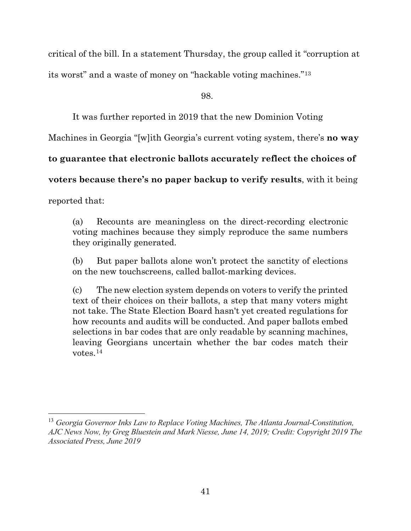critical of the bill. In a statement Thursday, the group called it "corruption at

its worst" and a waste of money on "hackable voting machines."[13](#page-40-0)

98.

It was further reported in 2019 that the new Dominion Voting

Machines in Georgia "[w]ith Georgia's current voting system, there's **no way** 

**to guarantee that electronic ballots accurately reflect the choices of** 

**voters because there's no paper backup to verify results**, with it being

reported that:

l

(a) Recounts are meaningless on the direct-recording electronic voting machines because they simply reproduce the same numbers they originally generated.

(b) But paper ballots alone won't protect the sanctity of elections on the new touchscreens, called ballot-marking devices.

(c) The new election system depends on voters to verify the printed text of their choices on their ballots, a step that many voters might not take. The State Election Board hasn't yet created regulations for how recounts and audits will be conducted. And paper ballots embed selections in bar codes that are only readable by scanning machines, leaving Georgians uncertain whether the bar codes match their votes.[14](#page-40-1)

<span id="page-40-1"></span><span id="page-40-0"></span><sup>13</sup> *Georgia Governor Inks Law to Replace Voting Machines, The Atlanta Journal-Constitution, AJC News Now, by Greg Bluestein and Mark Niesse, June 14, 2019; Credit: Copyright 2019 The Associated Press, June 2019*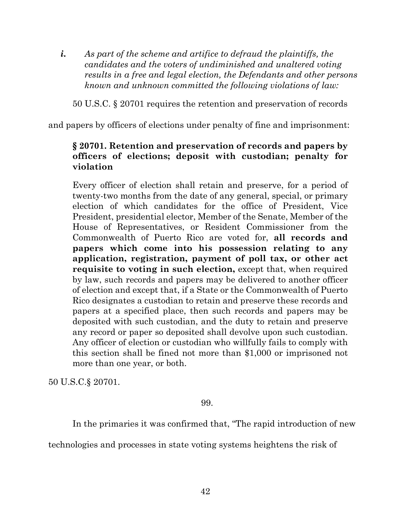*i. As part of the scheme and artifice to defraud the plaintiffs, the candidates and the voters of undiminished and unaltered voting results in a free and legal election, the Defendants and other persons known and unknown committed the following violations of law:*

50 U.S.C. § 20701 requires the retention and preservation of records

and papers by officers of elections under penalty of fine and imprisonment:

# **§ 20701. Retention and preservation of records and papers by officers of elections; deposit with custodian; penalty for violation**

Every officer of election shall retain and preserve, for a period of twenty-two months from the date of any general, special, or primary election of which candidates for the office of President, Vice President, presidential elector, Member of the Senate, Member of the House of Representatives, or Resident Commissioner from the Commonwealth of Puerto Rico are voted for, **all records and papers which come into his possession relating to any application, registration, payment of poll tax, or other act requisite to voting in such election, except that, when required** by law, such records and papers may be delivered to another officer of election and except that, if a State or the Commonwealth of Puerto Rico designates a custodian to retain and preserve these records and papers at a specified place, then such records and papers may be deposited with such custodian, and the duty to retain and preserve any record or paper so deposited shall devolve upon such custodian. Any officer of election or custodian who willfully fails to comply with this section shall be fined not more than \$1,000 or imprisoned not more than one year, or both.

50 U.S.C.§ 20701.

99.

In the primaries it was confirmed that, "The rapid introduction of new

technologies and processes in state voting systems heightens the risk of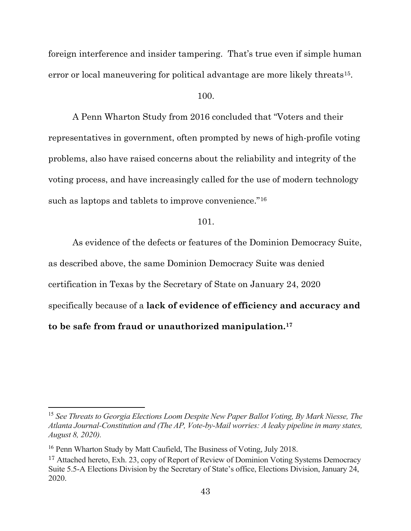foreign interference and insider tampering. That's true even if simple human error or local maneuvering for political advantage are more likely threats<sup>[15](#page-42-0)</sup>.

100.

A Penn Wharton Study from 2016 concluded that "Voters and their representatives in government, often prompted by news of high-profile voting problems, also have raised concerns about the reliability and integrity of the voting process, and have increasingly called for the use of modern technology such as laptops and tablets to improve convenience."<sup>[16](#page-42-1)</sup>

101.

As evidence of the defects or features of the Dominion Democracy Suite, as described above, the same Dominion Democracy Suite was denied certification in Texas by the Secretary of State on January 24, 2020 specifically because of a **lack of evidence of efficiency and accuracy and to be safe from fraud or unauthorized manipulation.[17](#page-42-2)**

<span id="page-42-0"></span><sup>15</sup> *See Threats to Georgia Elections Loom Despite New Paper Ballot Voting, By Mark Niesse, The Atlanta Journal-Constitution and (The AP, Vote-by-Mail worries: A leaky pipeline in many states, August 8, 2020).*

<span id="page-42-1"></span><sup>&</sup>lt;sup>16</sup> Penn Wharton Study by Matt Caufield, The Business of Voting, July 2018.

<span id="page-42-2"></span><sup>&</sup>lt;sup>17</sup> Attached hereto, Exh. 23, copy of Report of Review of Dominion Voting Systems Democracy Suite 5.5-A Elections Division by the Secretary of State's office, Elections Division, January 24, 2020.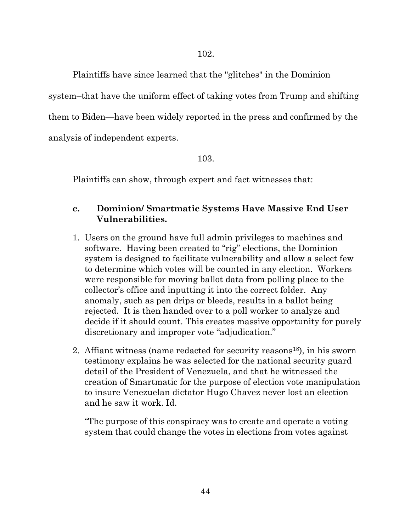Plaintiffs have since learned that the "glitches" in the Dominion

system–that have the uniform effect of taking votes from Trump and shifting

them to Biden—have been widely reported in the press and confirmed by the

analysis of independent experts.

<span id="page-43-0"></span> $\overline{a}$ 

103.

Plaintiffs can show, through expert and fact witnesses that:

# **c. Dominion/ Smartmatic Systems Have Massive End User Vulnerabilities.**

- 1. Users on the ground have full admin privileges to machines and software. Having been created to "rig" elections, the Dominion system is designed to facilitate vulnerability and allow a select few to determine which votes will be counted in any election. Workers were responsible for moving ballot data from polling place to the collector's office and inputting it into the correct folder. Any anomaly, such as pen drips or bleeds, results in a ballot being rejected. It is then handed over to a poll worker to analyze and decide if it should count. This creates massive opportunity for purely discretionary and improper vote "adjudication."
- 2. Affiant witness (name redacted for security reasons<sup>18</sup>), in his sworn testimony explains he was selected for the national security guard detail of the President of Venezuela, and that he witnessed the creation of Smartmatic for the purpose of election vote manipulation to insure Venezuelan dictator Hugo Chavez never lost an election and he saw it work. Id.

"The purpose of this conspiracy was to create and operate a voting system that could change the votes in elections from votes against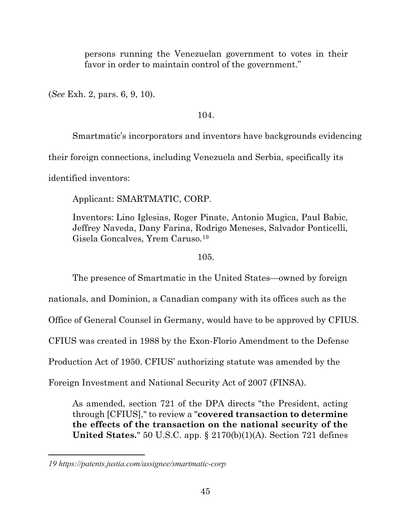persons running the Venezuelan government to votes in their favor in order to maintain control of the government."

(*See* Exh. 2, pars. 6, 9, 10).

### 104.

Smartmatic's incorporators and inventors have backgrounds evidencing

their foreign connections, including Venezuela and Serbia, specifically its

identified inventors:

Applicant: SMARTMATIC, CORP.

Inventors: Lino Iglesias, Roger Pinate, Antonio Mugica, Paul Babic, Jeffrey Naveda, Dany Farina, Rodrigo Meneses, Salvador Ponticelli, Gisela Goncalves, Yrem Caruso.[19](#page-44-0)

### 105.

The presence of Smartmatic in the United States—owned by foreign

nationals, and Dominion, a Canadian company with its offices such as the

Office of General Counsel in Germany, would have to be approved by CFIUS.

CFIUS was created in 1988 by the Exon-Florio Amendment to the Defense

Production Act of 1950. CFIUS' authorizing statute was amended by the

Foreign Investment and National Security Act of 2007 (FINSA).

As amended, section 721 of the DPA directs "the President, acting through [CFIUS]," to review a "**covered transaction to determine the effects of the transaction on the national security of the United States.**" 50 U.S.C. app. § 2170(b)(1)(A). Section 721 defines

 $\overline{a}$ 

<span id="page-44-0"></span>*<sup>19</sup> https://patents.justia.com/assignee/smartmatic-corp*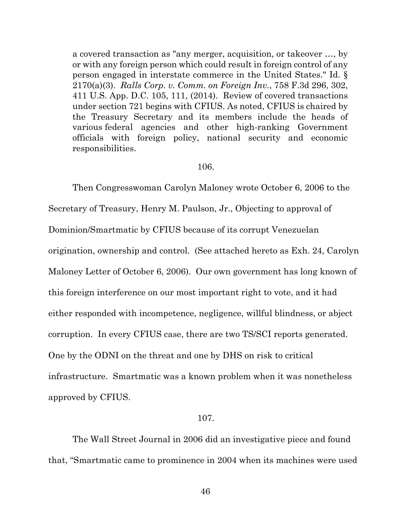a covered transaction as "any merger, acquisition, or takeover …, by or with any foreign person which could result in foreign control of any person engaged in interstate commerce in the United States." Id. § 2170(a)(3). *Ralls Corp. v. Comm. on Foreign Inv.*, 758 F.3d 296, 302, 411 U.S. App. D.C. 105, 111, (2014). Review of covered transactions under section 721 begins with CFIUS. As noted, CFIUS is chaired by the Treasury Secretary and its members include the heads of various federal agencies and other high-ranking Government officials with foreign policy, national security and economic responsibilities.

#### 106.

Then Congresswoman Carolyn Maloney wrote October 6, 2006 to the Secretary of Treasury, Henry M. Paulson, Jr., Objecting to approval of Dominion/Smartmatic by CFIUS because of its corrupt Venezuelan origination, ownership and control. (See attached hereto as Exh. 24, Carolyn Maloney Letter of October 6, 2006). Our own government has long known of this foreign interference on our most important right to vote, and it had either responded with incompetence, negligence, willful blindness, or abject corruption. In every CFIUS case, there are two TS/SCI reports generated. One by the ODNI on the threat and one by DHS on risk to critical infrastructure. Smartmatic was a known problem when it was nonetheless approved by CFIUS.

#### 107.

The Wall Street Journal in 2006 did an investigative piece and found that, "Smartmatic came to prominence in 2004 when its machines were used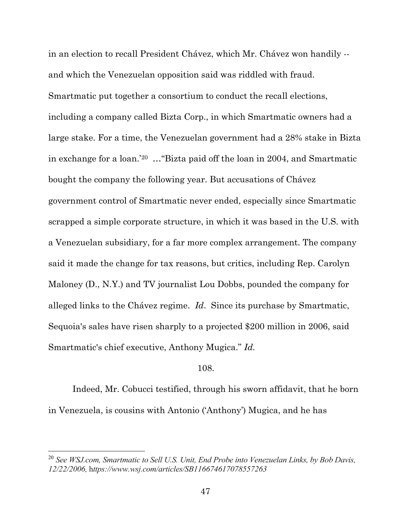in an election to recall President Chávez, which Mr. Chávez won handily - and which the Venezuelan opposition said was riddled with fraud. Smartmatic put together a consortium to conduct the recall elections, including a company called Bizta Corp., in which Smartmatic owners had a large stake. For a time, the Venezuelan government had a 28% stake in Bizta in exchange for a loan.' [20](#page-46-0) …"Bizta paid off the loan in 2004, and Smartmatic bought the company the following year. But accusations of Chávez government control of Smartmatic never ended, especially since Smartmatic scrapped a simple corporate structure, in which it was based in the U.S. with a Venezuelan subsidiary, for a far more complex arrangement. The company said it made the change for tax reasons, but critics, including Rep. Carolyn Maloney (D., N.Y.) and TV journalist Lou Dobbs, pounded the company for alleged links to the Chávez regime. *Id*. Since its purchase by Smartmatic, Sequoia's sales have risen sharply to a projected \$200 million in 2006, said Smartmatic's chief executive, Anthony Mugica." *Id.*

#### 108.

Indeed, Mr. Cobucci testified, through his sworn affidavit, that he born in Venezuela, is cousins with Antonio ('Anthony') Mugica, and he has

 $\overline{a}$ 

<span id="page-46-0"></span><sup>20</sup> *See WSJ.com, Smartmatic to Sell U.S. Unit, End Probe into Venezuelan Links, by Bob Davis, 12/22/2006,* h*ttps://www.wsj.com/articles/SB116674617078557263*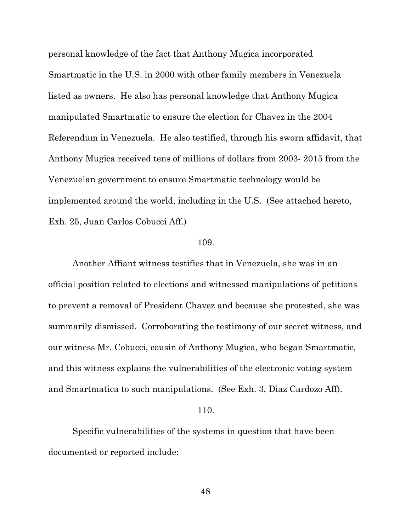personal knowledge of the fact that Anthony Mugica incorporated Smartmatic in the U.S. in 2000 with other family members in Venezuela listed as owners. He also has personal knowledge that Anthony Mugica manipulated Smartmatic to ensure the election for Chavez in the 2004 Referendum in Venezuela. He also testified, through his sworn affidavit, that Anthony Mugica received tens of millions of dollars from 2003- 2015 from the Venezuelan government to ensure Smartmatic technology would be implemented around the world, including in the U.S. (See attached hereto, Exh. 25, Juan Carlos Cobucci Aff.)

#### 109.

Another Affiant witness testifies that in Venezuela, she was in an official position related to elections and witnessed manipulations of petitions to prevent a removal of President Chavez and because she protested, she was summarily dismissed. Corroborating the testimony of our secret witness, and our witness Mr. Cobucci, cousin of Anthony Mugica, who began Smartmatic, and this witness explains the vulnerabilities of the electronic voting system and Smartmatica to such manipulations. (See Exh. 3, Diaz Cardozo Aff).

#### 110.

Specific vulnerabilities of the systems in question that have been documented or reported include: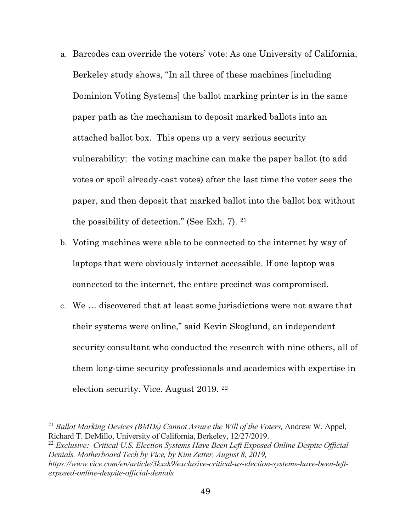- a. Barcodes can override the voters' vote: As one University of California, Berkeley study shows, "In all three of these machines [including Dominion Voting Systems] the ballot marking printer is in the same paper path as the mechanism to deposit marked ballots into an attached ballot box. This opens up a very serious security vulnerability: the voting machine can make the paper ballot (to add votes or spoil already-cast votes) after the last time the voter sees the paper, and then deposit that marked ballot into the ballot box without the possibility of detection." (See Exh. 7). [21](#page-48-0)
- b. Voting machines were able to be connected to the internet by way of laptops that were obviously internet accessible. If one laptop was connected to the internet, the entire precinct was compromised.
- c. We … discovered that at least some jurisdictions were not aware that their systems were online," said Kevin Skoglund, an independent security consultant who conducted the research with nine others, all of them long-time security professionals and academics with expertise in election security. Vice. August 2019. [22](#page-48-1)

 $\overline{a}$ 

<span id="page-48-1"></span><sup>22</sup> *Exclusive: Critical U.S. Election Systems Have Been Left Exposed Online Despite Official Denials, Motherboard Tech by Vice, by Kim Zetter, August 8, 2019, https://www.vice.com/en/article/3kxzk9/exclusive-critical-us-election-systems-have-been-leftexposed-online-despite-official-denials*

<span id="page-48-0"></span><sup>&</sup>lt;sup>21</sup> *Ballot Marking Devices (BMDs) Cannot Assure the Will of the Voters, Andrew W. Appel,* Richard T. DeMillo, University of California, Berkeley, 12/27/2019.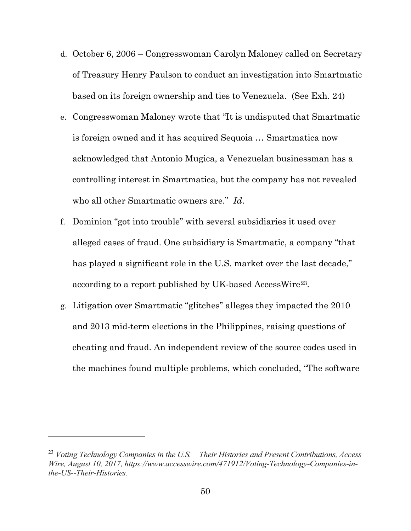- d. October 6, 2006 Congresswoman Carolyn Maloney called on Secretary of Treasury Henry Paulson to conduct an investigation into Smartmatic based on its foreign ownership and ties to Venezuela. (See Exh. 24)
- e. Congresswoman Maloney wrote that "It is undisputed that Smartmatic is foreign owned and it has acquired Sequoia … Smartmatica now acknowledged that Antonio Mugica, a Venezuelan businessman has a controlling interest in Smartmatica, but the company has not revealed who all other Smartmatic owners are." *Id*.
- f. Dominion "got into trouble" with several subsidiaries it used over alleged cases of fraud. One subsidiary is Smartmatic, a company "that has played a significant role in the U.S. market over the last decade," according to a report published by UK-based AccessWire[23.](#page-49-0)
- g. Litigation over Smartmatic "glitches" alleges they impacted the 2010 and 2013 mid-term elections in the Philippines, raising questions of cheating and fraud. An independent review of the source codes used in the machines found multiple problems, which concluded, "The software

l

<span id="page-49-0"></span><sup>23</sup> *Voting Technology Companies in the U.S. – Their Histories and Present Contributions, Access Wire, August 10, 2017, https://www.accesswire.com/471912/Voting-Technology-Companies-inthe-US--Their-Histories.*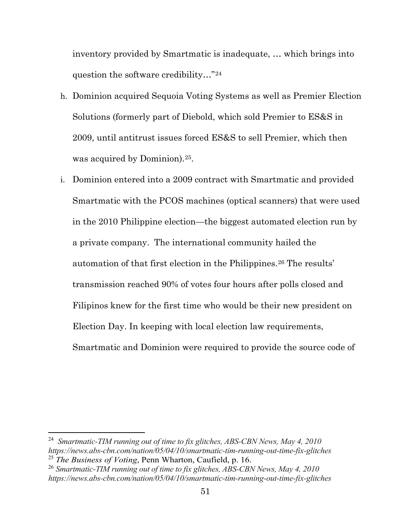inventory provided by Smartmatic is inadequate, … which brings into question the software credibility…"[24](#page-50-0)

- h. Dominion acquired Sequoia Voting Systems as well as Premier Election Solutions (formerly part of Diebold, which sold Premier to ES&S in 2009, until antitrust issues forced ES&S to sell Premier, which then was acquired by Dominion).<sup>[25](#page-50-1)</sup>.
- i. Dominion entered into a 2009 contract with Smartmatic and provided Smartmatic with the PCOS machines (optical scanners) that were used in the 2010 Philippine election—the biggest automated election run by a private company. The international community hailed the automation of that first election in the Philippines.<sup>[26](#page-50-2)</sup> The results' transmission reached 90% of votes four hours after polls closed and Filipinos knew for the first time who would be their new president on Election Day. In keeping with local election law requirements, Smartmatic and Dominion were required to provide the source code of

 $\overline{a}$ 

<span id="page-50-0"></span><sup>24</sup> *Smartmatic-TIM running out of time to fix glitches, ABS-CBN News, May 4, 2010 https://news.abs-cbn.com/nation/05/04/10/smartmatic-tim-running-out-time-fix-glitches* <sup>25</sup> *The Business of Voting*, Penn Wharton, Caufield, p. 16.

<span id="page-50-2"></span><span id="page-50-1"></span><sup>26</sup> *Smartmatic-TIM running out of time to fix glitches, ABS-CBN News, May 4, 2010 https://news.abs-cbn.com/nation/05/04/10/smartmatic-tim-running-out-time-fix-glitches*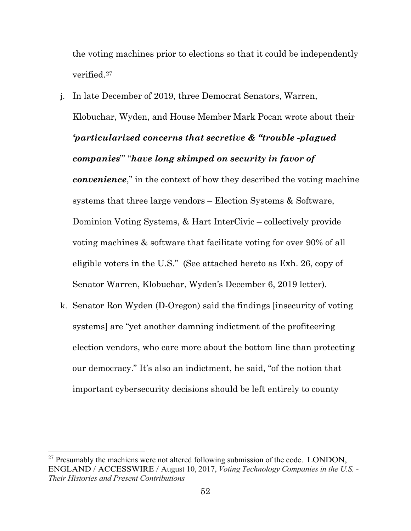the voting machines prior to elections so that it could be independently verified.[27](#page-51-0)

- j. In late December of 2019, three Democrat Senators, Warren, Klobuchar, Wyden, and House Member Mark Pocan wrote about their *'particularized concerns that secretive & "trouble -plagued companies*"' "*have long skimped on security in favor of convenience*," in the context of how they described the voting machine systems that three large vendors – Election Systems & Software, Dominion Voting Systems, & Hart InterCivic – collectively provide voting machines & software that facilitate voting for over 90% of all eligible voters in the U.S." (See attached hereto as Exh. 26, copy of Senator Warren, Klobuchar, Wyden's December 6, 2019 letter).
- k. Senator Ron Wyden (D-Oregon) said the findings [insecurity of voting systems] are "yet another damning indictment of the profiteering election vendors, who care more about the bottom line than protecting our democracy." It's also an indictment, he said, "of the notion that important cybersecurity decisions should be left entirely to county

 $\overline{a}$ 

<span id="page-51-0"></span> $27$  Presumably the machiens were not altered following submission of the code. LONDON, ENGLAND / ACCESSWIRE / August 10, 2017, *Voting Technology Companies in the U.S. - Their Histories and Present Contributions*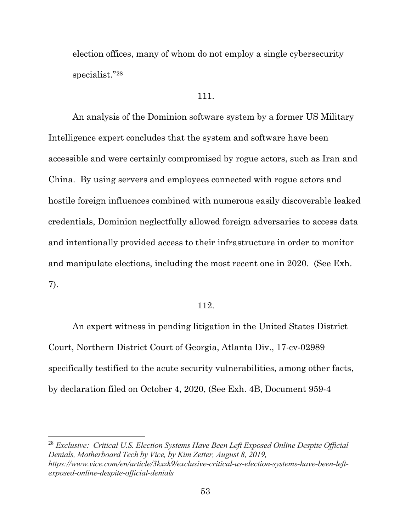election offices, many of whom do not employ a single cybersecurity specialist."[28](#page-52-0) 

#### 111.

An analysis of the Dominion software system by a former US Military Intelligence expert concludes that the system and software have been accessible and were certainly compromised by rogue actors, such as Iran and China. By using servers and employees connected with rogue actors and hostile foreign influences combined with numerous easily discoverable leaked credentials, Dominion neglectfully allowed foreign adversaries to access data and intentionally provided access to their infrastructure in order to monitor and manipulate elections, including the most recent one in 2020. (See Exh. 7).

#### 112.

An expert witness in pending litigation in the United States District Court, Northern District Court of Georgia, Atlanta Div., 17-cv-02989 specifically testified to the acute security vulnerabilities, among other facts, by declaration filed on October 4, 2020, (See Exh. 4B, Document 959-4

<span id="page-52-0"></span><sup>28</sup> *Exclusive: Critical U.S. Election Systems Have Been Left Exposed Online Despite Official Denials, Motherboard Tech by Vice, by Kim Zetter, August 8, 2019, https://www.vice.com/en/article/3kxzk9/exclusive-critical-us-election-systems-have-been-leftexposed-online-despite-official-denials*

l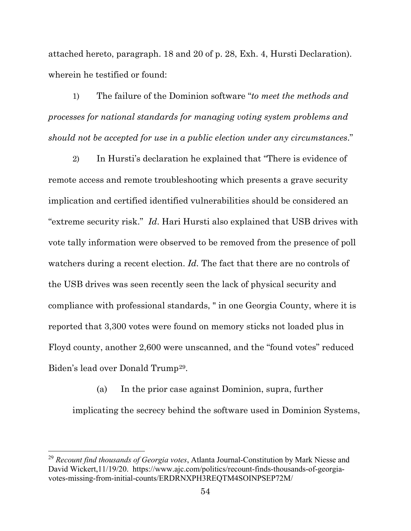attached hereto, paragraph. 18 and 20 of p. 28, Exh. 4, Hursti Declaration). wherein he testified or found:

1) The failure of the Dominion software "*to meet the methods and processes for national standards for managing voting system problems and should not be accepted for use in a public election under any circumstances*."

2) In Hursti's declaration he explained that "There is evidence of remote access and remote troubleshooting which presents a grave security implication and certified identified vulnerabilities should be considered an "extreme security risk." *Id*. Hari Hursti also explained that USB drives with vote tally information were observed to be removed from the presence of poll watchers during a recent election. *Id.* The fact that there are no controls of the USB drives was seen recently seen the lack of physical security and compliance with professional standards, " in one Georgia County, where it is reported that 3,300 votes were found on memory sticks not loaded plus in Floyd county, another 2,600 were unscanned, and the "found votes" reduced Biden's lead over Donald Trump[29](#page-53-0).

(a) In the prior case against Dominion, supra, further implicating the secrecy behind the software used in Dominion Systems,

 $\overline{a}$ 

<span id="page-53-0"></span><sup>29</sup> *Recount find thousands of Georgia votes*, Atlanta Journal-Constitution by Mark Niesse and David Wickert,11/19/20. https://www.ajc.com/politics/recount-finds-thousands-of-georgiavotes-missing-from-initial-counts/ERDRNXPH3REQTM4SOINPSEP72M/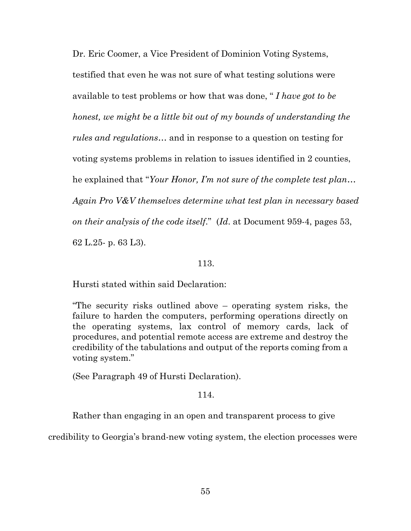Dr. Eric Coomer, a Vice President of Dominion Voting Systems, testified that even he was not sure of what testing solutions were available to test problems or how that was done, " *I have got to be honest, we might be a little bit out of my bounds of understanding the rules and regulations*… and in response to a question on testing for voting systems problems in relation to issues identified in 2 counties, he explained that "*Your Honor, I'm not sure of the complete test plan… Again Pro V&V themselves determine what test plan in necessary based on their analysis of the code itself*." (*Id*. at Document 959-4, pages 53, 62 L.25- p. 63 L3).

#### 113.

Hursti stated within said Declaration:

"The security risks outlined above – operating system risks, the failure to harden the computers, performing operations directly on the operating systems, lax control of memory cards, lack of procedures, and potential remote access are extreme and destroy the credibility of the tabulations and output of the reports coming from a voting system."

(See Paragraph 49 of Hursti Declaration).

114.

Rather than engaging in an open and transparent process to give

credibility to Georgia's brand-new voting system, the election processes were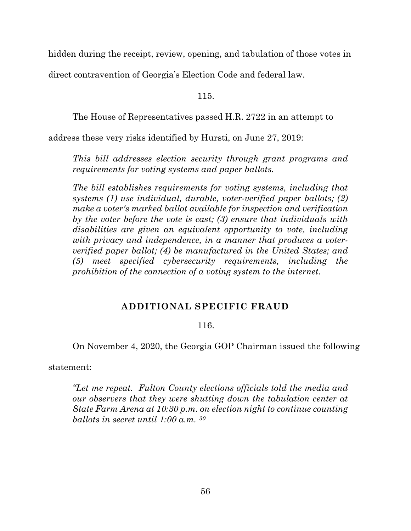hidden during the receipt, review, opening, and tabulation of those votes in

direct contravention of Georgia's Election Code and federal law.

115.

The House of Representatives passed H.R. 2722 in an attempt to

address these very risks identified by Hursti, on June 27, 2019:

*This bill addresses election security through grant programs and requirements for voting systems and paper ballots.*

*The bill establishes requirements for voting systems, including that systems (1) use individual, durable, voter-verified paper ballots; (2) make a voter's marked ballot available for inspection and verification by the voter before the vote is cast; (3) ensure that individuals with disabilities are given an equivalent opportunity to vote, including with privacy and independence, in a manner that produces a voterverified paper ballot; (4) be manufactured in the United States; and (5) meet specified cybersecurity requirements, including the prohibition of the connection of a voting system to the internet.* 

# **ADDITIONAL SPECIFIC FRAUD**

# 116.

On November 4, 2020, the Georgia GOP Chairman issued the following

statement:

<span id="page-55-0"></span> $\overline{a}$ 

*"Let me repeat. Fulton County elections officials told the media and our observers that they were shutting down the tabulation center at State Farm Arena at 10:30 p.m. on election night to continue counting ballots in secret until 1:00 a.m. [30](#page-55-0)*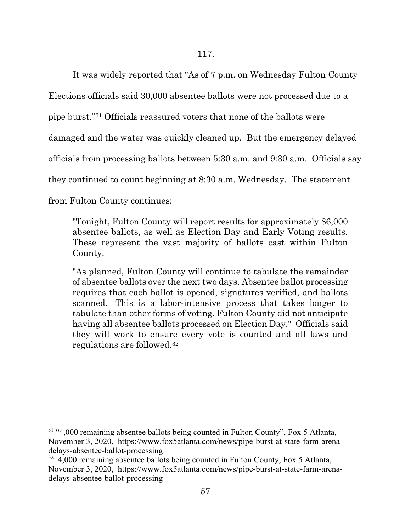It was widely reported that "As of 7 p.m. on Wednesday Fulton County Elections officials said 30,000 absentee ballots were not processed due to a pipe burst."[31](#page-56-0) Officials reassured voters that none of the ballots were damaged and the water was quickly cleaned up. But the emergency delayed officials from processing ballots between 5:30 a.m. and 9:30 a.m. Officials say they continued to count beginning at 8:30 a.m. Wednesday. The statement from Fulton County continues:

"Tonight, Fulton County will report results for approximately 86,000 absentee ballots, as well as Election Day and Early Voting results. These represent the vast majority of ballots cast within Fulton County.

"As planned, Fulton County will continue to tabulate the remainder of absentee ballots over the next two days. Absentee ballot processing requires that each ballot is opened, signatures verified, and ballots scanned. This is a labor-intensive process that takes longer to tabulate than other forms of voting. Fulton County did not anticipate having all absentee ballots processed on Election Day." Officials said they will work to ensure every vote is counted and all laws and regulations are followed.[32](#page-56-1)

l

<span id="page-56-0"></span> $31$  "4,000 remaining absentee ballots being counted in Fulton County", Fox 5 Atlanta, November 3, 2020, https://www.fox5atlanta.com/news/pipe-burst-at-state-farm-arenadelays-absentee-ballot-processing

<span id="page-56-1"></span> $32\,$  4,000 remaining absentee ballots being counted in Fulton County, Fox 5 Atlanta, November 3, 2020, https://www.fox5atlanta.com/news/pipe-burst-at-state-farm-arenadelays-absentee-ballot-processing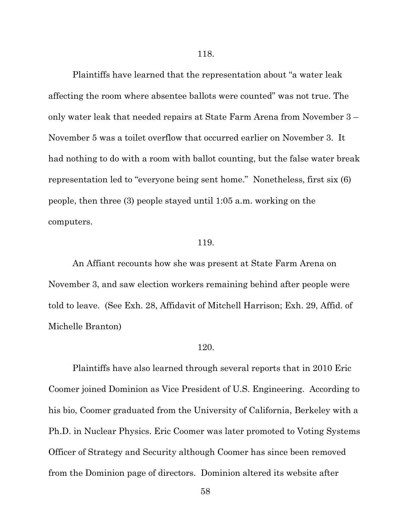Plaintiffs have learned that the representation about "a water leak affecting the room where absentee ballots were counted" was not true. The only water leak that needed repairs at State Farm Arena from November 3 – November 5 was a toilet overflow that occurred earlier on November 3. It had nothing to do with a room with ballot counting, but the false water break representation led to "everyone being sent home." Nonetheless, first six (6) people, then three (3) people stayed until 1:05 a.m. working on the computers.

#### 119.

An Affiant recounts how she was present at State Farm Arena on November 3, and saw election workers remaining behind after people were told to leave. (See Exh. 28, Affidavit of Mitchell Harrison; Exh. 29, Affid. of Michelle Branton)

#### 120.

Plaintiffs have also learned through several reports that in 2010 Eric Coomer joined Dominion as Vice President of U.S. Engineering. According to his bio, Coomer graduated from the University of California, Berkeley with a Ph.D. in Nuclear Physics. Eric Coomer was later promoted to Voting Systems Officer of Strategy and Security although Coomer has since been removed from the Dominion page of directors. Dominion altered its website after

58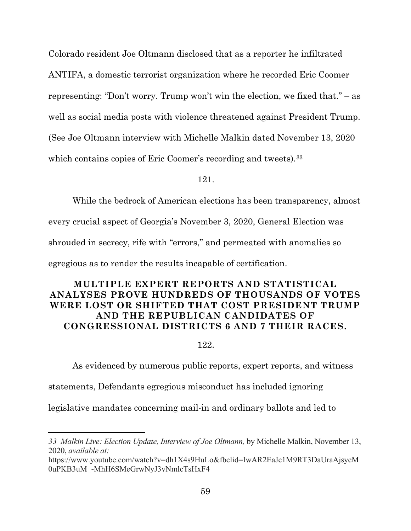Colorado resident Joe Oltmann disclosed that as a reporter he infiltrated ANTIFA, a domestic terrorist organization where he recorded Eric Coomer representing: "Don't worry. Trump won't win the election, we fixed that." – as well as social media posts with violence threatened against President Trump. (See Joe Oltmann interview with Michelle Malkin dated November 13, 2020 which contains copies of Eric Coomer's recording and tweets).<sup>[33](#page-58-0)</sup>

121.

While the bedrock of American elections has been transparency, almost

every crucial aspect of Georgia's November 3, 2020, General Election was

shrouded in secrecy, rife with "errors," and permeated with anomalies so

egregious as to render the results incapable of certification.

# **MULTIPLE EXPERT REPORTS AND STATISTICAL ANALYSES PROVE HUNDREDS OF THOUSANDS OF VOTES WERE LOST OR SHIFTED THAT COST PRESIDENT TRUMP AND THE REPUBLICAN CANDIDATES OF CONGRESSIONAL DISTRICTS 6 AND 7 THEIR RACES.**

122.

As evidenced by numerous public reports, expert reports, and witness

statements, Defendants egregious misconduct has included ignoring

 $\overline{a}$ 

legislative mandates concerning mail-in and ordinary ballots and led to

<span id="page-58-0"></span>*<sup>33</sup> Malkin Live: Election Update, Interview of Joe Oltmann,* by Michelle Malkin, November 13, 2020, *available at:* 

https://www.youtube.com/watch?v=dh1X4s9HuLo&fbclid=IwAR2EaJc1M9RT3DaUraAjsycM 0uPKB3uM\_-MhH6SMeGrwNyJ3vNmlcTsHxF4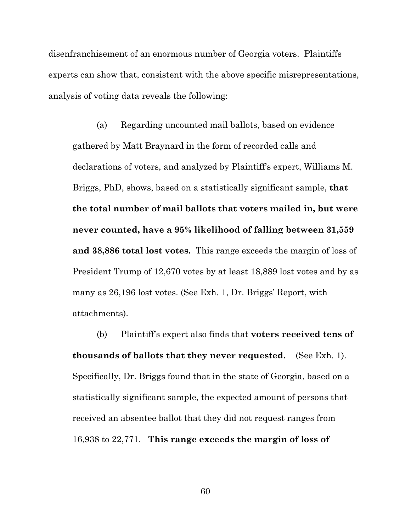disenfranchisement of an enormous number of Georgia voters. Plaintiffs experts can show that, consistent with the above specific misrepresentations, analysis of voting data reveals the following:

(a) Regarding uncounted mail ballots, based on evidence gathered by Matt Braynard in the form of recorded calls and declarations of voters, and analyzed by Plaintiff's expert, Williams M. Briggs, PhD, shows, based on a statistically significant sample, **that the total number of mail ballots that voters mailed in, but were never counted, have a 95% likelihood of falling between 31,559 and 38,886 total lost votes.** This range exceeds the margin of loss of President Trump of 12,670 votes by at least 18,889 lost votes and by as many as 26,196 lost votes. (See Exh. 1, Dr. Briggs' Report, with attachments).

(b) Plaintiff's expert also finds that **voters received tens of thousands of ballots that they never requested.** (See Exh. 1). Specifically, Dr. Briggs found that in the state of Georgia, based on a statistically significant sample, the expected amount of persons that received an absentee ballot that they did not request ranges from 16,938 to 22,771. **This range exceeds the margin of loss of** 

60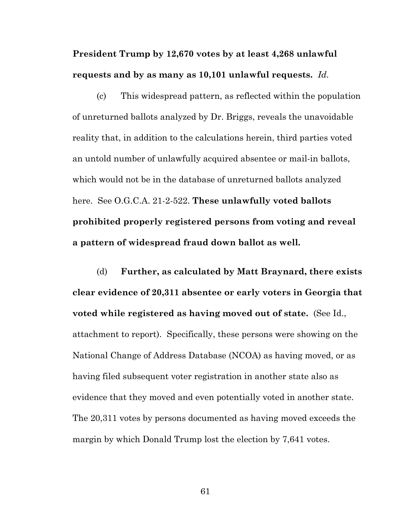**President Trump by 12,670 votes by at least 4,268 unlawful requests and by as many as 10,101 unlawful requests.** *Id.*

(c) This widespread pattern, as reflected within the population of unreturned ballots analyzed by Dr. Briggs, reveals the unavoidable reality that, in addition to the calculations herein, third parties voted an untold number of unlawfully acquired absentee or mail-in ballots, which would not be in the database of unreturned ballots analyzed here. See O.G.C.A. 21-2-522. **These unlawfully voted ballots prohibited properly registered persons from voting and reveal a pattern of widespread fraud down ballot as well.**

(d) **Further, as calculated by Matt Braynard, there exists clear evidence of 20,311 absentee or early voters in Georgia that voted while registered as having moved out of state.** (See Id., attachment to report).Specifically, these persons were showing on the National Change of Address Database (NCOA) as having moved, or as having filed subsequent voter registration in another state also as evidence that they moved and even potentially voted in another state. The 20,311 votes by persons documented as having moved exceeds the margin by which Donald Trump lost the election by 7,641 votes.

61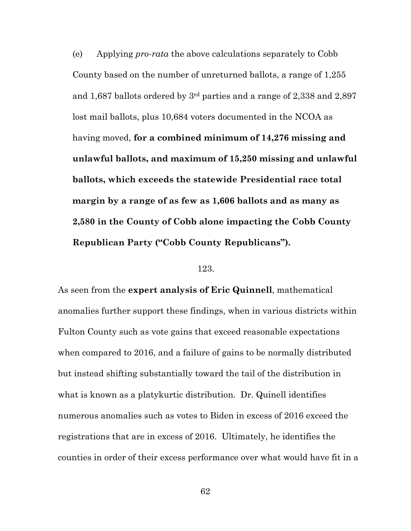(e) Applying *pro-rata* the above calculations separately to Cobb County based on the number of unreturned ballots, a range of 1,255 and 1,687 ballots ordered by 3rd parties and a range of 2,338 and 2,897 lost mail ballots, plus 10,684 voters documented in the NCOA as having moved, **for a combined minimum of 14,276 missing and unlawful ballots, and maximum of 15,250 missing and unlawful ballots, which exceeds the statewide Presidential race total margin by a range of as few as 1,606 ballots and as many as 2,580 in the County of Cobb alone impacting the Cobb County Republican Party ("Cobb County Republicans").**

#### 123.

As seen from the **expert analysis of Eric Quinnell**, mathematical anomalies further support these findings, when in various districts within Fulton County such as vote gains that exceed reasonable expectations when compared to 2016, and a failure of gains to be normally distributed but instead shifting substantially toward the tail of the distribution in what is known as a platykurtic distribution. Dr. Quinell identifies numerous anomalies such as votes to Biden in excess of 2016 exceed the registrations that are in excess of 2016. Ultimately, he identifies the counties in order of their excess performance over what would have fit in a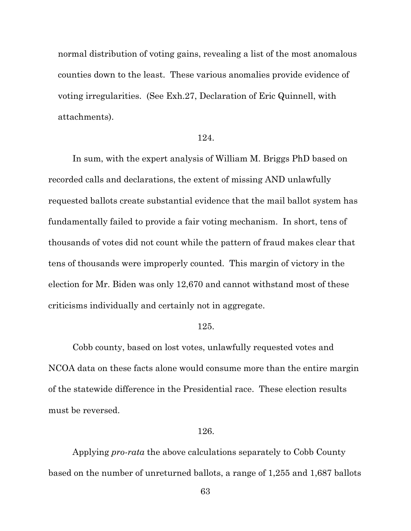normal distribution of voting gains, revealing a list of the most anomalous counties down to the least. These various anomalies provide evidence of voting irregularities. (See Exh.27, Declaration of Eric Quinnell, with attachments).

#### 124.

In sum, with the expert analysis of William M. Briggs PhD based on recorded calls and declarations, the extent of missing AND unlawfully requested ballots create substantial evidence that the mail ballot system has fundamentally failed to provide a fair voting mechanism. In short, tens of thousands of votes did not count while the pattern of fraud makes clear that tens of thousands were improperly counted. This margin of victory in the election for Mr. Biden was only 12,670 and cannot withstand most of these criticisms individually and certainly not in aggregate.

#### 125.

Cobb county, based on lost votes, unlawfully requested votes and NCOA data on these facts alone would consume more than the entire margin of the statewide difference in the Presidential race. These election results must be reversed.

#### 126.

Applying *pro-rata* the above calculations separately to Cobb County based on the number of unreturned ballots, a range of 1,255 and 1,687 ballots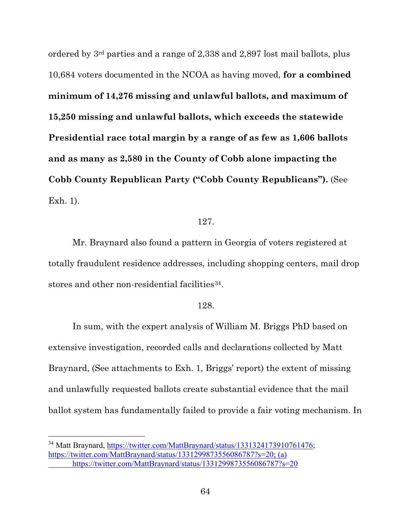ordered by 3rd parties and a range of 2,338 and 2,897 lost mail ballots, plus 10,684 voters documented in the NCOA as having moved, **for a combined minimum of 14,276 missing and unlawful ballots, and maximum of 15,250 missing and unlawful ballots, which exceeds the statewide Presidential race total margin by a range of as few as 1,606 ballots and as many as 2,580 in the County of Cobb alone impacting the Cobb County Republican Party ("Cobb County Republicans").** (See Exh. 1).

#### 127.

Mr. Braynard also found a pattern in Georgia of voters registered at totally fraudulent residence addresses, including shopping centers, mail drop stores and other non-residential facilities<sup>[34](#page-63-0)</sup>.

#### 128.

In sum, with the expert analysis of William M. Briggs PhD based on extensive investigation, recorded calls and declarations collected by Matt Braynard, (See attachments to Exh. 1, Briggs' report) the extent of missing and unlawfully requested ballots create substantial evidence that the mail ballot system has fundamentally failed to provide a fair voting mechanism. In

l

<span id="page-63-0"></span><sup>&</sup>lt;sup>34</sup> Matt Braynard, https://twitter.com/MattBraynard/status/1331324173910761476; https://twitter.com/MattBraynard/status/1331299873556086787?s=20; (a) https://twitter.com/MattBraynard/status/1331299873556086787?s=20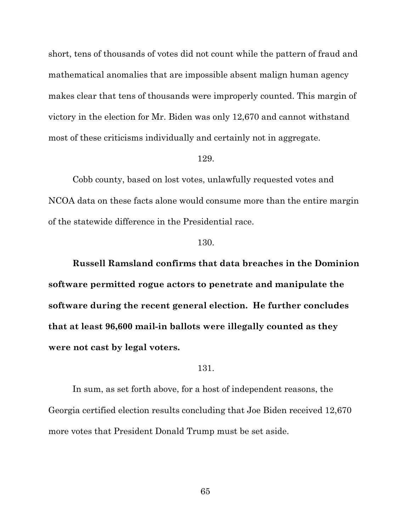short, tens of thousands of votes did not count while the pattern of fraud and mathematical anomalies that are impossible absent malign human agency makes clear that tens of thousands were improperly counted. This margin of victory in the election for Mr. Biden was only 12,670 and cannot withstand most of these criticisms individually and certainly not in aggregate.

#### 129.

Cobb county, based on lost votes, unlawfully requested votes and NCOA data on these facts alone would consume more than the entire margin of the statewide difference in the Presidential race.

#### 130.

**Russell Ramsland confirms that data breaches in the Dominion software permitted rogue actors to penetrate and manipulate the software during the recent general election. He further concludes that at least 96,600 mail-in ballots were illegally counted as they were not cast by legal voters.**

#### 131.

In sum, as set forth above, for a host of independent reasons, the Georgia certified election results concluding that Joe Biden received 12,670 more votes that President Donald Trump must be set aside.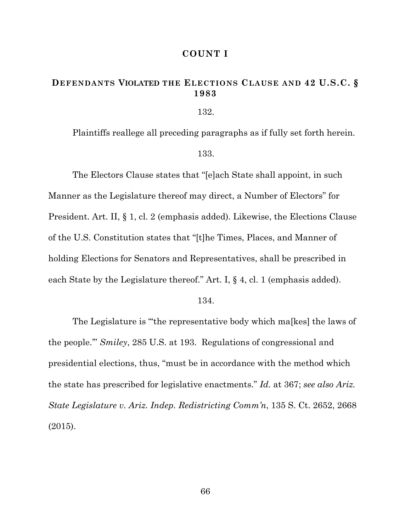#### **COUNT I**

# **DEFENDANTS VIOLATED THE ELECTIONS CLAUSE AND 42 U.S.C. § 1983**

132.

Plaintiffs reallege all preceding paragraphs as if fully set forth herein.

133.

The Electors Clause states that "[e]ach State shall appoint, in such Manner as the Legislature thereof may direct, a Number of Electors" for President. Art. II, § 1, cl. 2 (emphasis added). Likewise, the Elections Clause of the U.S. Constitution states that "[t]he Times, Places, and Manner of holding Elections for Senators and Representatives, shall be prescribed in each State by the Legislature thereof." Art. I, § 4, cl. 1 (emphasis added).

134.

The Legislature is "'the representative body which ma[kes] the laws of the people.'" *Smiley*, 285 U.S. at 193. Regulations of congressional and presidential elections, thus, "must be in accordance with the method which the state has prescribed for legislative enactments." *Id.* at 367; *see also Ariz. State Legislature v. Ariz. Indep. Redistricting Comm'n*, 135 S. Ct. 2652, 2668 (2015).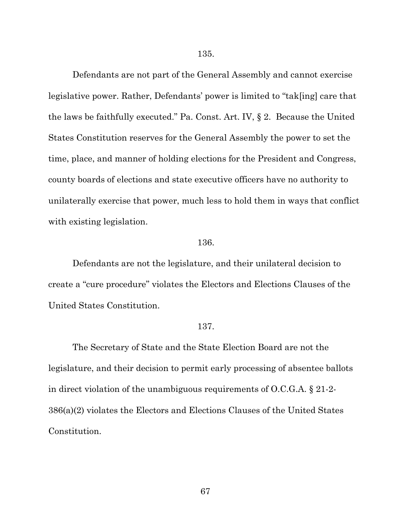135.

Defendants are not part of the General Assembly and cannot exercise legislative power. Rather, Defendants' power is limited to "tak[ing] care that the laws be faithfully executed." Pa. Const. Art. IV, § 2. Because the United States Constitution reserves for the General Assembly the power to set the time, place, and manner of holding elections for the President and Congress, county boards of elections and state executive officers have no authority to unilaterally exercise that power, much less to hold them in ways that conflict with existing legislation.

#### 136.

Defendants are not the legislature, and their unilateral decision to create a "cure procedure" violates the Electors and Elections Clauses of the United States Constitution.

#### 137.

The Secretary of State and the State Election Board are not the legislature, and their decision to permit early processing of absentee ballots in direct violation of the unambiguous requirements of O.C.G.A. § 21-2- 386(a)(2) violates the Electors and Elections Clauses of the United States Constitution.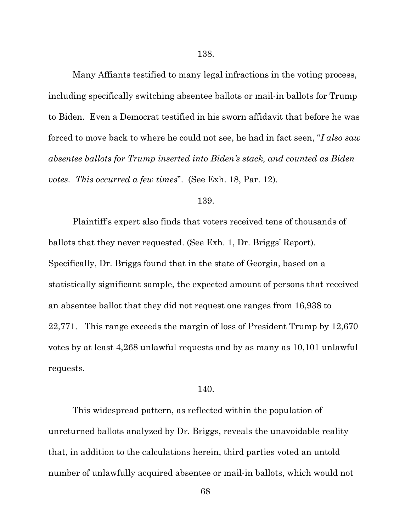Many Affiants testified to many legal infractions in the voting process, including specifically switching absentee ballots or mail-in ballots for Trump to Biden. Even a Democrat testified in his sworn affidavit that before he was forced to move back to where he could not see, he had in fact seen, "*I also saw absentee ballots for Trump inserted into Biden's stack, and counted as Biden votes. This occurred a few times*". (See Exh. 18, Par. 12).

#### 139.

Plaintiff's expert also finds that voters received tens of thousands of ballots that they never requested. (See Exh. 1, Dr. Briggs' Report). Specifically, Dr. Briggs found that in the state of Georgia, based on a statistically significant sample, the expected amount of persons that received an absentee ballot that they did not request one ranges from 16,938 to 22,771. This range exceeds the margin of loss of President Trump by 12,670 votes by at least 4,268 unlawful requests and by as many as 10,101 unlawful requests.

#### 140.

This widespread pattern, as reflected within the population of unreturned ballots analyzed by Dr. Briggs, reveals the unavoidable reality that, in addition to the calculations herein, third parties voted an untold number of unlawfully acquired absentee or mail-in ballots, which would not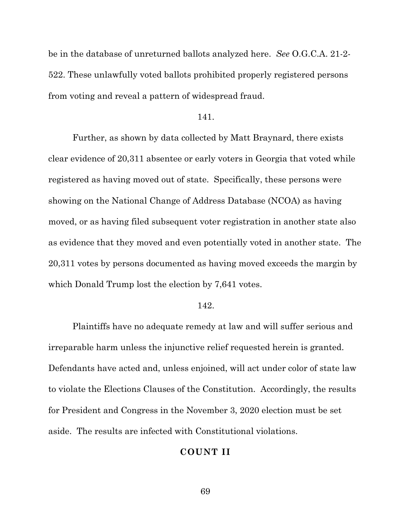be in the database of unreturned ballots analyzed here. *See* O.G.C.A. 21-2- 522. These unlawfully voted ballots prohibited properly registered persons from voting and reveal a pattern of widespread fraud.

#### 141.

Further, as shown by data collected by Matt Braynard, there exists clear evidence of 20,311 absentee or early voters in Georgia that voted while registered as having moved out of state. Specifically, these persons were showing on the National Change of Address Database (NCOA) as having moved, or as having filed subsequent voter registration in another state also as evidence that they moved and even potentially voted in another state. The 20,311 votes by persons documented as having moved exceeds the margin by which Donald Trump lost the election by 7,641 votes.

#### 142.

Plaintiffs have no adequate remedy at law and will suffer serious and irreparable harm unless the injunctive relief requested herein is granted. Defendants have acted and, unless enjoined, will act under color of state law to violate the Elections Clauses of the Constitution. Accordingly, the results for President and Congress in the November 3, 2020 election must be set aside. The results are infected with Constitutional violations.

#### **COUNT II**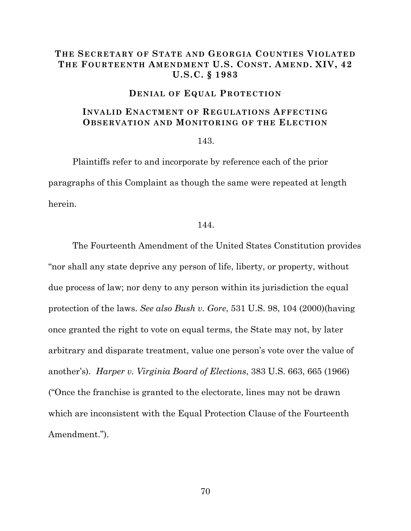### **THE SECRETARY OF STATE AND GEORGIA COUNTIES VIOLATED THE FOURTEENTH AMENDMENT U.S. CONST. AMEND. XIV, 42 U.S.C. § 1983**

#### **DENIAL OF EQUAL PROTECTION**

### **INVALID ENACTMENT OF REGULATIONS AFFECTING OBSERVATION AND MONITORING OF THE ELECTION**

#### 143.

Plaintiffs refer to and incorporate by reference each of the prior paragraphs of this Complaint as though the same were repeated at length herein.

#### 144.

The Fourteenth Amendment of the United States Constitution provides "nor shall any state deprive any person of life, liberty, or property, without due process of law; nor deny to any person within its jurisdiction the equal protection of the laws. *See also Bush v. Gore*, 531 U.S. 98, 104 (2000)(having once granted the right to vote on equal terms, the State may not, by later arbitrary and disparate treatment, value one person's vote over the value of another's). *Harper v. Virginia Board of Elections*, 383 U.S. 663, 665 (1966) ("Once the franchise is granted to the electorate, lines may not be drawn which are inconsistent with the Equal Protection Clause of the Fourteenth Amendment.").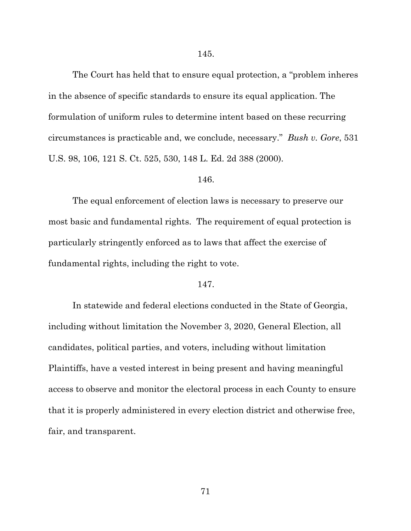The Court has held that to ensure equal protection, a "problem inheres in the absence of specific standards to ensure its equal application. The formulation of uniform rules to determine intent based on these recurring circumstances is practicable and, we conclude, necessary." *Bush v. Gore*, 531 U.S. 98, 106, 121 S. Ct. 525, 530, 148 L. Ed. 2d 388 (2000).

#### 146.

The equal enforcement of election laws is necessary to preserve our most basic and fundamental rights. The requirement of equal protection is particularly stringently enforced as to laws that affect the exercise of fundamental rights, including the right to vote.

#### 147.

In statewide and federal elections conducted in the State of Georgia, including without limitation the November 3, 2020, General Election, all candidates, political parties, and voters, including without limitation Plaintiffs, have a vested interest in being present and having meaningful access to observe and monitor the electoral process in each County to ensure that it is properly administered in every election district and otherwise free, fair, and transparent.

71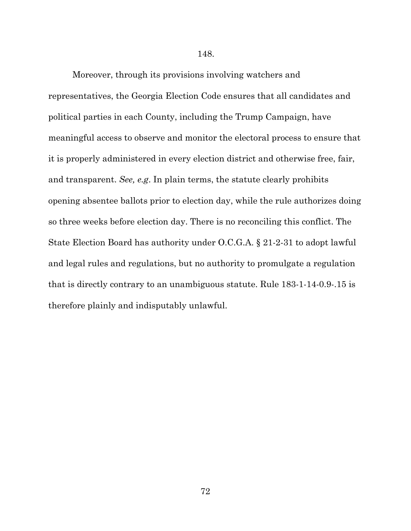#### 148.

Moreover, through its provisions involving watchers and representatives, the Georgia Election Code ensures that all candidates and political parties in each County, including the Trump Campaign, have meaningful access to observe and monitor the electoral process to ensure that it is properly administered in every election district and otherwise free, fair, and transparent. *See, e.g*. In plain terms, the statute clearly prohibits opening absentee ballots prior to election day, while the rule authorizes doing so three weeks before election day. There is no reconciling this conflict. The State Election Board has authority under O.C.G.A. § 21-2-31 to adopt lawful and legal rules and regulations, but no authority to promulgate a regulation that is directly contrary to an unambiguous statute. Rule 183-1-14-0.9-.15 is therefore plainly and indisputably unlawful.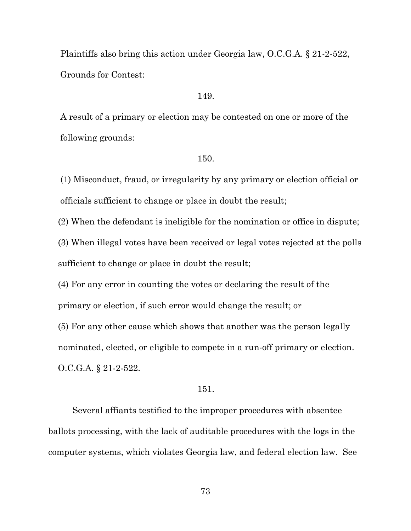Plaintiffs also bring this action under Georgia law, O.C.G.A. § 21-2-522, Grounds for Contest:

# 149.

A result of a primary or election may be contested on one or more of the following grounds:

# 150.

(1) Misconduct, fraud, or irregularity by any primary or election official or officials sufficient to change or place in doubt the result;

(2) When the defendant is ineligible for the nomination or office in dispute;

(3) When illegal votes have been received or legal votes rejected at the polls sufficient to change or place in doubt the result;

(4) For any error in counting the votes or declaring the result of the primary or election, if such error would change the result; or

(5) For any other cause which shows that another was the person legally nominated, elected, or eligible to compete in a run-off primary or election.

O.C.G.A. § 21-2-522.

# 151.

Several affiants testified to the improper procedures with absentee ballots processing, with the lack of auditable procedures with the logs in the computer systems, which violates Georgia law, and federal election law. See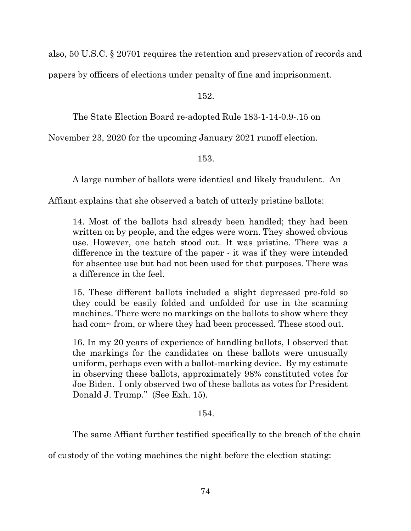also, 50 U.S.C. § 20701 requires the retention and preservation of records and

papers by officers of elections under penalty of fine and imprisonment.

152.

The State Election Board re-adopted Rule 183-1-14-0.9-.15 on

November 23, 2020 for the upcoming January 2021 runoff election.

153.

A large number of ballots were identical and likely fraudulent. An

Affiant explains that she observed a batch of utterly pristine ballots:

14. Most of the ballots had already been handled; they had been written on by people, and the edges were worn. They showed obvious use. However, one batch stood out. It was pristine. There was a difference in the texture of the paper - it was if they were intended for absentee use but had not been used for that purposes. There was a difference in the feel.

15. These different ballots included a slight depressed pre-fold so they could be easily folded and unfolded for use in the scanning machines. There were no markings on the ballots to show where they had com~ from, or where they had been processed. These stood out.

16. In my 20 years of experience of handling ballots, I observed that the markings for the candidates on these ballots were unusually uniform, perhaps even with a ballot-marking device. By my estimate in observing these ballots, approximately 98% constituted votes for Joe Biden. I only observed two of these ballots as votes for President Donald J. Trump." (See Exh. 15).

# 154.

The same Affiant further testified specifically to the breach of the chain

of custody of the voting machines the night before the election stating: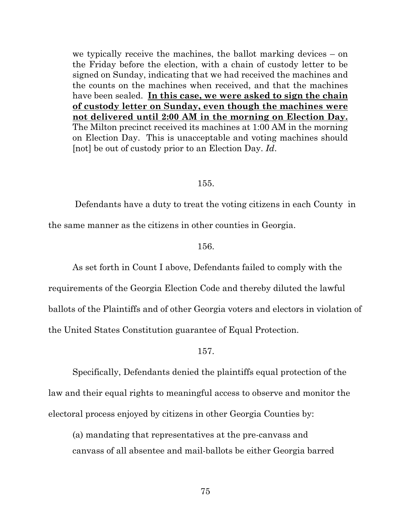we typically receive the machines, the ballot marking devices – on the Friday before the election, with a chain of custody letter to be signed on Sunday, indicating that we had received the machines and the counts on the machines when received, and that the machines have been sealed. **In this case, we were asked to sign the chain of custody letter on Sunday, even though the machines were not delivered until 2:00 AM in the morning on Election Day.** The Milton precinct received its machines at 1:00 AM in the morning on Election Day. This is unacceptable and voting machines should [not] be out of custody prior to an Election Day. *Id*.

#### 155.

Defendants have a duty to treat the voting citizens in each County in the same manner as the citizens in other counties in Georgia.

#### 156.

As set forth in Count I above, Defendants failed to comply with the

requirements of the Georgia Election Code and thereby diluted the lawful ballots of the Plaintiffs and of other Georgia voters and electors in violation of the United States Constitution guarantee of Equal Protection.

# 157.

Specifically, Defendants denied the plaintiffs equal protection of the law and their equal rights to meaningful access to observe and monitor the electoral process enjoyed by citizens in other Georgia Counties by:

(a) mandating that representatives at the pre-canvass and canvass of all absentee and mail-ballots be either Georgia barred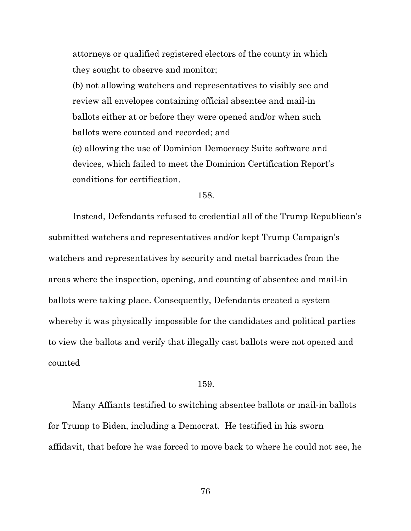attorneys or qualified registered electors of the county in which they sought to observe and monitor;

(b) not allowing watchers and representatives to visibly see and review all envelopes containing official absentee and mail-in ballots either at or before they were opened and/or when such ballots were counted and recorded; and

(c) allowing the use of Dominion Democracy Suite software and devices, which failed to meet the Dominion Certification Report's conditions for certification.

# 158.

Instead, Defendants refused to credential all of the Trump Republican's submitted watchers and representatives and/or kept Trump Campaign's watchers and representatives by security and metal barricades from the areas where the inspection, opening, and counting of absentee and mail-in ballots were taking place. Consequently, Defendants created a system whereby it was physically impossible for the candidates and political parties to view the ballots and verify that illegally cast ballots were not opened and counted

#### 159.

Many Affiants testified to switching absentee ballots or mail-in ballots for Trump to Biden, including a Democrat. He testified in his sworn affidavit, that before he was forced to move back to where he could not see, he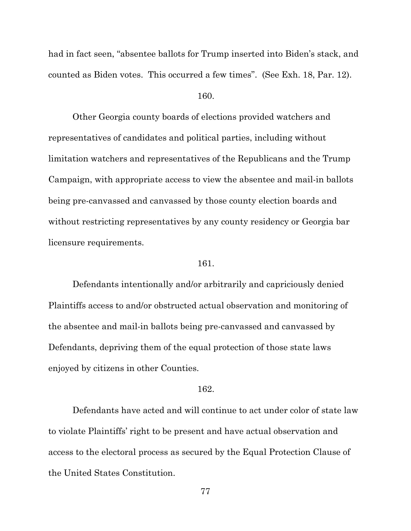had in fact seen, "absentee ballots for Trump inserted into Biden's stack, and counted as Biden votes. This occurred a few times". (See Exh. 18, Par. 12).

# 160.

Other Georgia county boards of elections provided watchers and representatives of candidates and political parties, including without limitation watchers and representatives of the Republicans and the Trump Campaign, with appropriate access to view the absentee and mail-in ballots being pre-canvassed and canvassed by those county election boards and without restricting representatives by any county residency or Georgia bar licensure requirements.

# 161.

Defendants intentionally and/or arbitrarily and capriciously denied Plaintiffs access to and/or obstructed actual observation and monitoring of the absentee and mail-in ballots being pre-canvassed and canvassed by Defendants, depriving them of the equal protection of those state laws enjoyed by citizens in other Counties.

# 162.

Defendants have acted and will continue to act under color of state law to violate Plaintiffs' right to be present and have actual observation and access to the electoral process as secured by the Equal Protection Clause of the United States Constitution.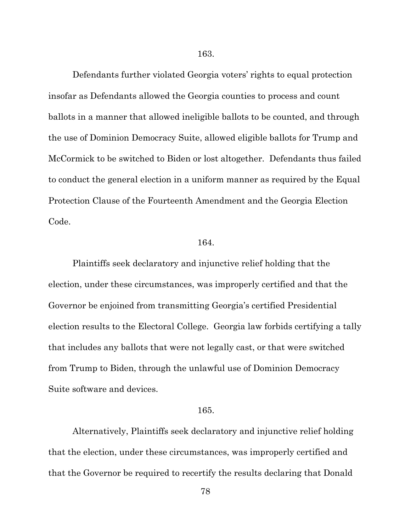Defendants further violated Georgia voters' rights to equal protection insofar as Defendants allowed the Georgia counties to process and count ballots in a manner that allowed ineligible ballots to be counted, and through the use of Dominion Democracy Suite, allowed eligible ballots for Trump and McCormick to be switched to Biden or lost altogether. Defendants thus failed to conduct the general election in a uniform manner as required by the Equal Protection Clause of the Fourteenth Amendment and the Georgia Election Code.

#### 164.

Plaintiffs seek declaratory and injunctive relief holding that the election, under these circumstances, was improperly certified and that the Governor be enjoined from transmitting Georgia's certified Presidential election results to the Electoral College. Georgia law forbids certifying a tally that includes any ballots that were not legally cast, or that were switched from Trump to Biden, through the unlawful use of Dominion Democracy Suite software and devices.

#### 165.

Alternatively, Plaintiffs seek declaratory and injunctive relief holding that the election, under these circumstances, was improperly certified and that the Governor be required to recertify the results declaring that Donald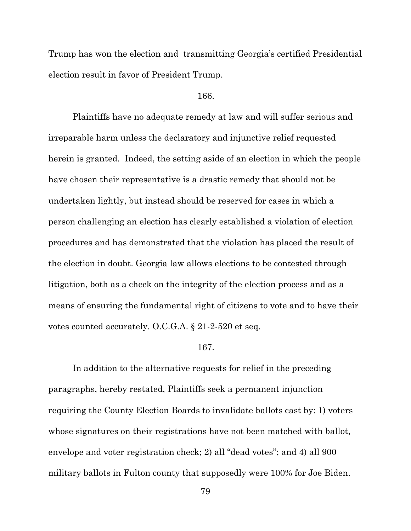Trump has won the election and transmitting Georgia's certified Presidential election result in favor of President Trump.

# 166.

Plaintiffs have no adequate remedy at law and will suffer serious and irreparable harm unless the declaratory and injunctive relief requested herein is granted. Indeed, the setting aside of an election in which the people have chosen their representative is a drastic remedy that should not be undertaken lightly, but instead should be reserved for cases in which a person challenging an election has clearly established a violation of election procedures and has demonstrated that the violation has placed the result of the election in doubt. Georgia law allows elections to be contested through litigation, both as a check on the integrity of the election process and as a means of ensuring the fundamental right of citizens to vote and to have their votes counted accurately. O.C.G.A. § 21-2-520 et seq.

# 167.

In addition to the alternative requests for relief in the preceding paragraphs, hereby restated, Plaintiffs seek a permanent injunction requiring the County Election Boards to invalidate ballots cast by: 1) voters whose signatures on their registrations have not been matched with ballot, envelope and voter registration check; 2) all "dead votes"; and 4) all 900 military ballots in Fulton county that supposedly were 100% for Joe Biden.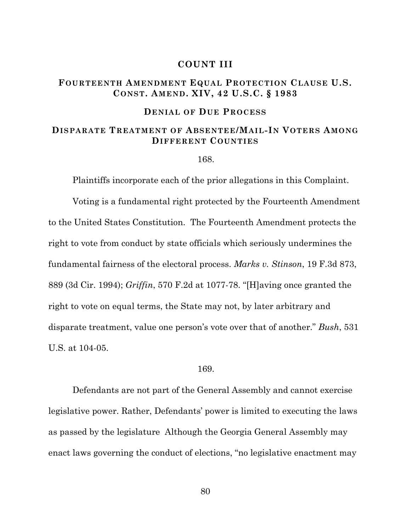# **COUNT III**

# **FOURTEENTH AMENDMENT EQUAL PROTECTION CLAUSE U.S. CONST. AMEND. XIV, 42 U.S.C. § 1983**

# **DENIAL OF DUE PROCESS**

# **DISPARATE TREATMENT OF ABSENTEE/MAIL-IN VOTERS AMONG DIFFERENT COUNTIES**

#### 168.

Plaintiffs incorporate each of the prior allegations in this Complaint.

Voting is a fundamental right protected by the Fourteenth Amendment to the United States Constitution. The Fourteenth Amendment protects the right to vote from conduct by state officials which seriously undermines the fundamental fairness of the electoral process. *Marks v. Stinson*, 19 F.3d 873, 889 (3d Cir. 1994); *Griffin*, 570 F.2d at 1077-78. "[H]aving once granted the right to vote on equal terms, the State may not, by later arbitrary and disparate treatment, value one person's vote over that of another." *Bush*, 531 U.S. at 104-05.

# 169.

Defendants are not part of the General Assembly and cannot exercise legislative power. Rather, Defendants' power is limited to executing the laws as passed by the legislature Although the Georgia General Assembly may enact laws governing the conduct of elections, "no legislative enactment may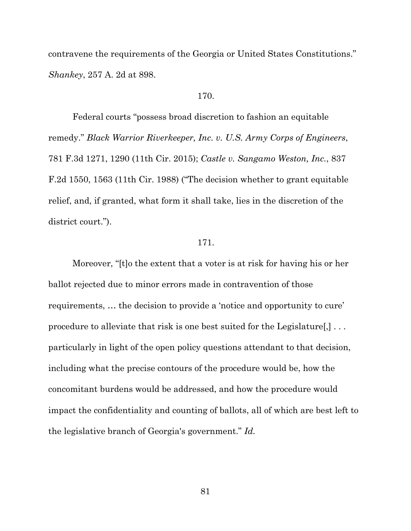contravene the requirements of the Georgia or United States Constitutions." *Shankey*, 257 A. 2d at 898.

# 170.

Federal courts "possess broad discretion to fashion an equitable remedy." *Black Warrior Riverkeeper, Inc. v. U.S. Army Corps of Engineers*, 781 F.3d 1271, 1290 (11th Cir. 2015); *Castle v. Sangamo Weston, Inc.*, 837 F.2d 1550, 1563 (11th Cir. 1988) ("The decision whether to grant equitable relief, and, if granted, what form it shall take, lies in the discretion of the district court.").

#### 171.

Moreover, "[t]o the extent that a voter is at risk for having his or her ballot rejected due to minor errors made in contravention of those requirements, … the decision to provide a 'notice and opportunity to cure' procedure to alleviate that risk is one best suited for the Legislature[,] . . . particularly in light of the open policy questions attendant to that decision, including what the precise contours of the procedure would be, how the concomitant burdens would be addressed, and how the procedure would impact the confidentiality and counting of ballots, all of which are best left to the legislative branch of Georgia's government." *Id.*

81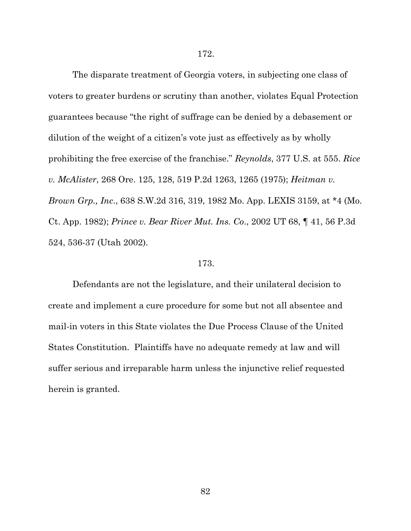The disparate treatment of Georgia voters, in subjecting one class of voters to greater burdens or scrutiny than another, violates Equal Protection guarantees because "the right of suffrage can be denied by a debasement or dilution of the weight of a citizen's vote just as effectively as by wholly prohibiting the free exercise of the franchise." *Reynolds*, 377 U.S. at 555. *Rice v. McAlister*, 268 Ore. 125, 128, 519 P.2d 1263, 1265 (1975); *Heitman v. Brown Grp., Inc*., 638 S.W.2d 316, 319, 1982 Mo. App. LEXIS 3159, at \*4 (Mo. Ct. App. 1982); *Prince v. Bear River Mut. Ins. Co*., 2002 UT 68, ¶ 41, 56 P.3d 524, 536-37 (Utah 2002).

# 173.

Defendants are not the legislature, and their unilateral decision to create and implement a cure procedure for some but not all absentee and mail-in voters in this State violates the Due Process Clause of the United States Constitution. Plaintiffs have no adequate remedy at law and will suffer serious and irreparable harm unless the injunctive relief requested herein is granted.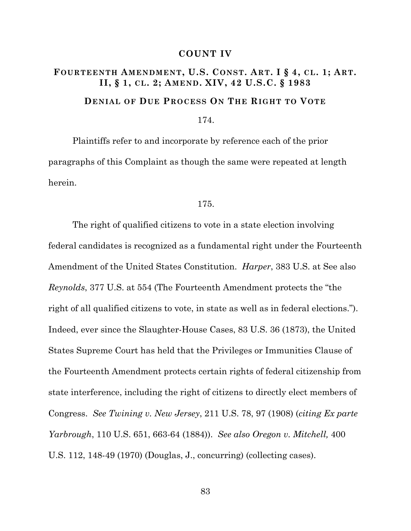# **COUNT IV**

# **FOURTEENTH AMENDMENT, U.S. CONST. ART. I § 4, CL. 1; ART. II, § 1, CL. 2; AMEND. XIV, 42 U.S.C. § 1983 DENIAL OF DUE PROCESS ON THE RIGHT TO VOTE**

# 174.

Plaintiffs refer to and incorporate by reference each of the prior paragraphs of this Complaint as though the same were repeated at length herein.

#### 175.

The right of qualified citizens to vote in a state election involving federal candidates is recognized as a fundamental right under the Fourteenth Amendment of the United States Constitution. *Harper*, 383 U.S. at See also *Reynolds*, 377 U.S. at 554 (The Fourteenth Amendment protects the "the right of all qualified citizens to vote, in state as well as in federal elections."). Indeed, ever since the Slaughter-House Cases, 83 U.S. 36 (1873), the United States Supreme Court has held that the Privileges or Immunities Clause of the Fourteenth Amendment protects certain rights of federal citizenship from state interference, including the right of citizens to directly elect members of Congress. *See Twining v. New Jersey*, 211 U.S. 78, 97 (1908) (*citing Ex parte Yarbrough*, 110 U.S. 651, 663-64 (1884)). *See also Oregon v. Mitchell,* 400 U.S. 112, 148-49 (1970) (Douglas, J., concurring) (collecting cases).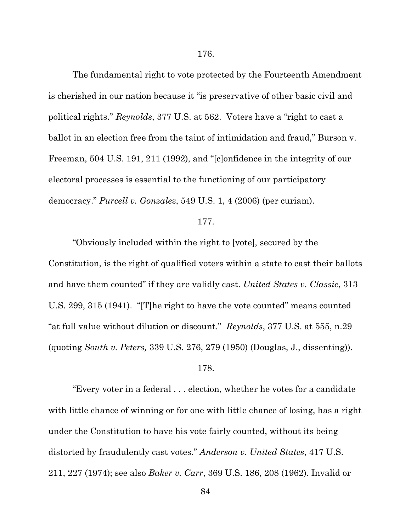The fundamental right to vote protected by the Fourteenth Amendment is cherished in our nation because it "is preservative of other basic civil and political rights." *Reynolds*, 377 U.S. at 562. Voters have a "right to cast a ballot in an election free from the taint of intimidation and fraud," Burson v. Freeman, 504 U.S. 191, 211 (1992), and "[c]onfidence in the integrity of our electoral processes is essential to the functioning of our participatory democracy." *Purcell v. Gonzalez*, 549 U.S. 1, 4 (2006) (per curiam).

# 177.

"Obviously included within the right to [vote], secured by the Constitution, is the right of qualified voters within a state to cast their ballots and have them counted" if they are validly cast. *United States v. Classic*, 313 U.S. 299, 315 (1941). "[T]he right to have the vote counted" means counted "at full value without dilution or discount." *Reynolds*, 377 U.S. at 555, n.29 (quoting *South v. Peters,* 339 U.S. 276, 279 (1950) (Douglas, J., dissenting)).

#### 178.

"Every voter in a federal . . . election, whether he votes for a candidate with little chance of winning or for one with little chance of losing, has a right under the Constitution to have his vote fairly counted, without its being distorted by fraudulently cast votes." *Anderson v. United States*, 417 U.S. 211, 227 (1974); see also *Baker v. Carr*, 369 U.S. 186, 208 (1962). Invalid or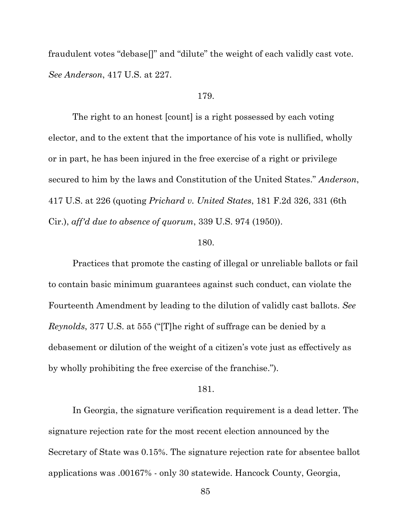fraudulent votes "debase[]" and "dilute" the weight of each validly cast vote. *See Anderson*, 417 U.S. at 227.

# 179.

The right to an honest [count] is a right possessed by each voting elector, and to the extent that the importance of his vote is nullified, wholly or in part, he has been injured in the free exercise of a right or privilege secured to him by the laws and Constitution of the United States." *Anderson*, 417 U.S. at 226 (quoting *Prichard v. United States*, 181 F.2d 326, 331 (6th Cir.), *aff'd due to absence of quorum*, 339 U.S. 974 (1950)).

# 180.

Practices that promote the casting of illegal or unreliable ballots or fail to contain basic minimum guarantees against such conduct, can violate the Fourteenth Amendment by leading to the dilution of validly cast ballots. *See Reynolds*, 377 U.S. at 555 ("[T]he right of suffrage can be denied by a debasement or dilution of the weight of a citizen's vote just as effectively as by wholly prohibiting the free exercise of the franchise.").

# 181.

In Georgia, the signature verification requirement is a dead letter. The signature rejection rate for the most recent election announced by the Secretary of State was 0.15%. The signature rejection rate for absentee ballot applications was .00167% - only 30 statewide. Hancock County, Georgia,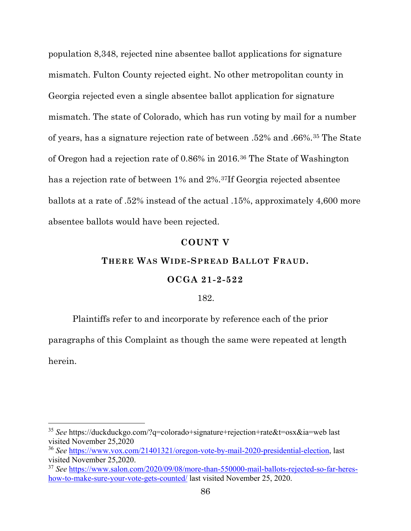population 8,348, rejected nine absentee ballot applications for signature mismatch. Fulton County rejected eight. No other metropolitan county in Georgia rejected even a single absentee ballot application for signature mismatch. The state of Colorado, which has run voting by mail for a number of years, has a signature rejection rate of between .52% and .66%.[35](#page-85-0) The State of Oregon had a rejection rate of 0.86% in 2016.[36](#page-85-1) The State of Washington has a rejection rate of between 1% and 2%.[37I](#page-85-2)f Georgia rejected absentee ballots at a rate of .52% instead of the actual .15%, approximately 4,600 more absentee ballots would have been rejected.

# **COUNT V**

# **THERE WAS WIDE-SPREAD BALLOT FRAUD.**

# **OCGA 21-2-522**

## 182.

Plaintiffs refer to and incorporate by reference each of the prior paragraphs of this Complaint as though the same were repeated at length herein.

l

<span id="page-85-0"></span><sup>35</sup> *See* https://duckduckgo.com/?q=colorado+signature+rejection+rate&t=osx&ia=web last visited November 25,2020

<span id="page-85-1"></span><sup>36</sup> *See* https://www.vox.com/21401321/oregon-vote-by-mail-2020-presidential-election, last visited November 25,2020.

<span id="page-85-2"></span><sup>37</sup> *See* https://www.salon.com/2020/09/08/more-than-550000-mail-ballots-rejected-so-far-hereshow-to-make-sure-your-vote-gets-counted/ last visited November 25, 2020.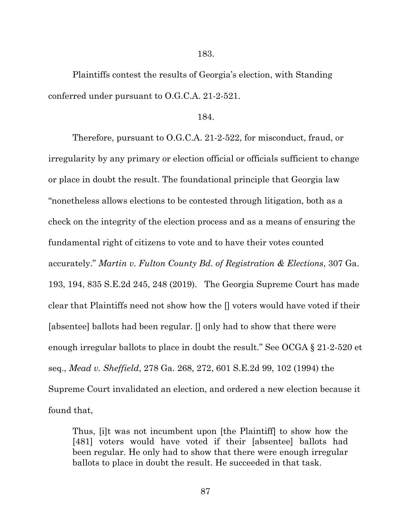183.

Plaintiffs contest the results of Georgia's election, with Standing conferred under pursuant to O.G.C.A. 21-2-521.

#### 184.

Therefore, pursuant to O.G.C.A. 21-2-522, for misconduct, fraud, or irregularity by any primary or election official or officials sufficient to change or place in doubt the result. The foundational principle that Georgia law "nonetheless allows elections to be contested through litigation, both as a check on the integrity of the election process and as a means of ensuring the fundamental right of citizens to vote and to have their votes counted accurately." *Martin v. Fulton County Bd. of Registration & Elections*, 307 Ga. 193, 194, 835 S.E.2d 245, 248 (2019). The Georgia Supreme Court has made clear that Plaintiffs need not show how the [] voters would have voted if their [absentee] ballots had been regular. [] only had to show that there were enough irregular ballots to place in doubt the result." See OCGA § 21-2-520 et seq., *Mead v. Sheffield*, 278 Ga. 268, 272, 601 S.E.2d 99, 102 (1994) the Supreme Court invalidated an election, and ordered a new election because it found that,

Thus, [i]t was not incumbent upon [the Plaintiff] to show how the [481] voters would have voted if their [absentee] ballots had been regular. He only had to show that there were enough irregular ballots to place in doubt the result. He succeeded in that task.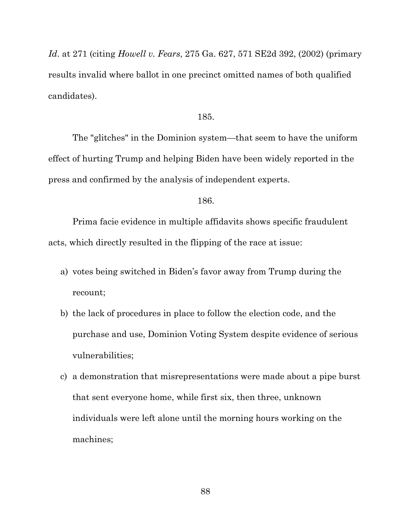*Id*. at 271 (citing *Howell v. Fears*, 275 Ga. 627, 571 SE2d 392, (2002) (primary results invalid where ballot in one precinct omitted names of both qualified candidates).

#### 185.

The "glitches" in the Dominion system—that seem to have the uniform effect of hurting Trump and helping Biden have been widely reported in the press and confirmed by the analysis of independent experts.

# 186.

Prima facie evidence in multiple affidavits shows specific fraudulent acts, which directly resulted in the flipping of the race at issue:

- a) votes being switched in Biden's favor away from Trump during the recount;
- b) the lack of procedures in place to follow the election code, and the purchase and use, Dominion Voting System despite evidence of serious vulnerabilities;
- c) a demonstration that misrepresentations were made about a pipe burst that sent everyone home, while first six, then three, unknown individuals were left alone until the morning hours working on the machines;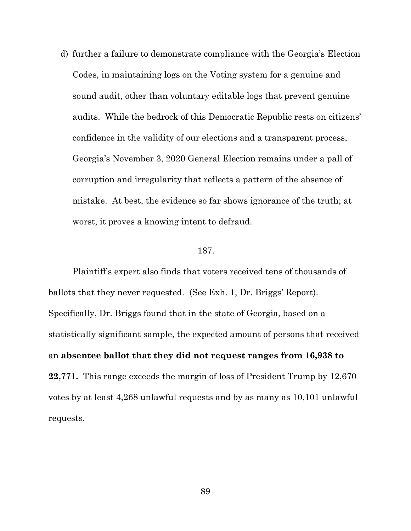d) further a failure to demonstrate compliance with the Georgia's Election Codes, in maintaining logs on the Voting system for a genuine and sound audit, other than voluntary editable logs that prevent genuine audits. While the bedrock of this Democratic Republic rests on citizens' confidence in the validity of our elections and a transparent process, Georgia's November 3, 2020 General Election remains under a pall of corruption and irregularity that reflects a pattern of the absence of mistake. At best, the evidence so far shows ignorance of the truth; at worst, it proves a knowing intent to defraud.

# 187.

Plaintiff's expert also finds that voters received tens of thousands of ballots that they never requested. (See Exh. 1, Dr. Briggs' Report). Specifically, Dr. Briggs found that in the state of Georgia, based on a statistically significant sample, the expected amount of persons that received an **absentee ballot that they did not request ranges from 16,938 to 22,771.** This range exceeds the margin of loss of President Trump by 12,670 votes by at least 4,268 unlawful requests and by as many as 10,101 unlawful requests.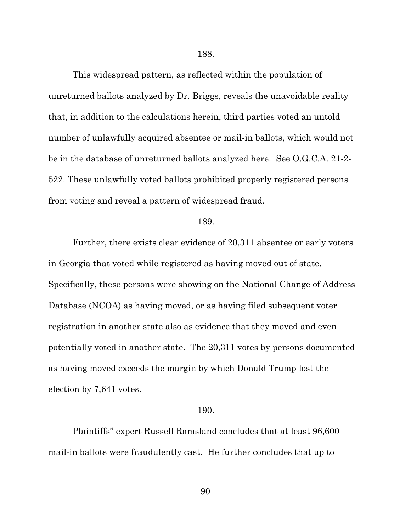This widespread pattern, as reflected within the population of unreturned ballots analyzed by Dr. Briggs, reveals the unavoidable reality that, in addition to the calculations herein, third parties voted an untold number of unlawfully acquired absentee or mail-in ballots, which would not be in the database of unreturned ballots analyzed here. See O.G.C.A. 21-2- 522. These unlawfully voted ballots prohibited properly registered persons from voting and reveal a pattern of widespread fraud.

#### 189.

Further, there exists clear evidence of 20,311 absentee or early voters in Georgia that voted while registered as having moved out of state. Specifically, these persons were showing on the National Change of Address Database (NCOA) as having moved, or as having filed subsequent voter registration in another state also as evidence that they moved and even potentially voted in another state. The 20,311 votes by persons documented as having moved exceeds the margin by which Donald Trump lost the election by 7,641 votes.

#### 190.

Plaintiffs'' expert Russell Ramsland concludes that at least 96,600 mail-in ballots were fraudulently cast. He further concludes that up to

90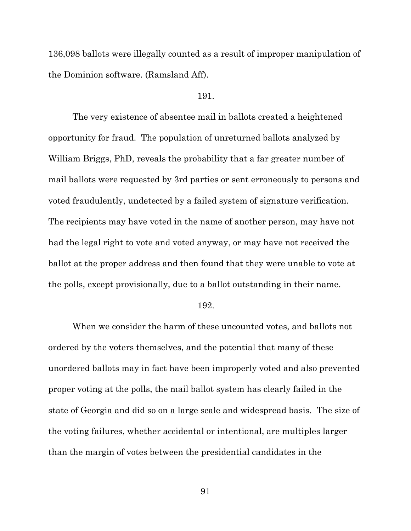136,098 ballots were illegally counted as a result of improper manipulation of the Dominion software. (Ramsland Aff).

# 191.

The very existence of absentee mail in ballots created a heightened opportunity for fraud. The population of unreturned ballots analyzed by William Briggs, PhD, reveals the probability that a far greater number of mail ballots were requested by 3rd parties or sent erroneously to persons and voted fraudulently, undetected by a failed system of signature verification. The recipients may have voted in the name of another person, may have not had the legal right to vote and voted anyway, or may have not received the ballot at the proper address and then found that they were unable to vote at the polls, except provisionally, due to a ballot outstanding in their name.

#### 192.

When we consider the harm of these uncounted votes, and ballots not ordered by the voters themselves, and the potential that many of these unordered ballots may in fact have been improperly voted and also prevented proper voting at the polls, the mail ballot system has clearly failed in the state of Georgia and did so on a large scale and widespread basis. The size of the voting failures, whether accidental or intentional, are multiples larger than the margin of votes between the presidential candidates in the

91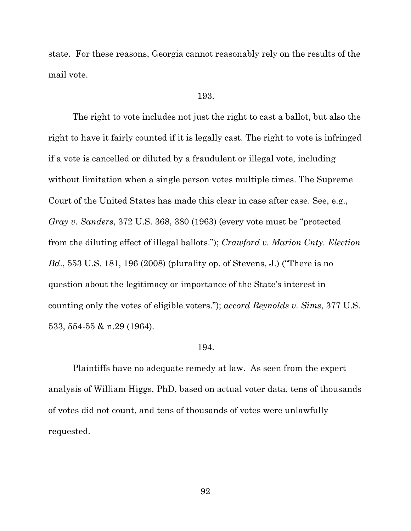state. For these reasons, Georgia cannot reasonably rely on the results of the mail vote.

#### 193.

The right to vote includes not just the right to cast a ballot, but also the right to have it fairly counted if it is legally cast. The right to vote is infringed if a vote is cancelled or diluted by a fraudulent or illegal vote, including without limitation when a single person votes multiple times. The Supreme Court of the United States has made this clear in case after case. See, e.g., *Gray v. Sanders*, 372 U.S. 368, 380 (1963) (every vote must be "protected from the diluting effect of illegal ballots."); *Crawford v. Marion Cnty. Election Bd*., 553 U.S. 181, 196 (2008) (plurality op. of Stevens, J.) ("There is no question about the legitimacy or importance of the State's interest in counting only the votes of eligible voters."); *accord Reynolds v. Sims*, 377 U.S. 533, 554-55 & n.29 (1964).

# 194.

Plaintiffs have no adequate remedy at law. As seen from the expert analysis of William Higgs, PhD, based on actual voter data, tens of thousands of votes did not count, and tens of thousands of votes were unlawfully requested.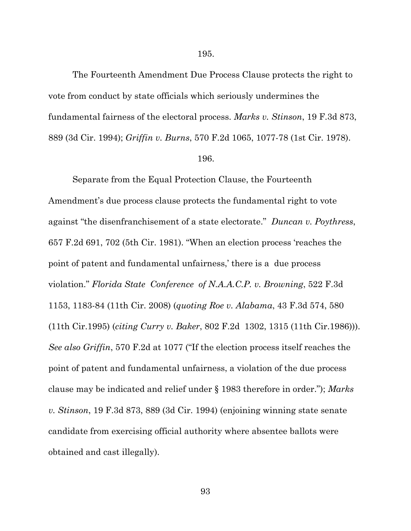The Fourteenth Amendment Due Process Clause protects the right to vote from conduct by state officials which seriously undermines the fundamental fairness of the electoral process. *Marks v. Stinson*, 19 F.3d 873, 889 (3d Cir. 1994); *Griffin v. Burns*, 570 F.2d 1065, 1077-78 (1st Cir. 1978).

# 196.

Separate from the Equal Protection Clause, the Fourteenth Amendment's due process clause protects the fundamental right to vote against "the disenfranchisement of a state electorate." *Duncan v. Poythress*, 657 F.2d 691, 702 (5th Cir. 1981). "When an election process 'reaches the point of patent and fundamental unfairness,' there is a due process violation." *Florida State Conference of N.A.A.C.P. v. Browning*, 522 F.3d 1153, 1183-84 (11th Cir. 2008) (*quoting Roe v. Alabama*, 43 F.3d 574, 580 (11th Cir.1995) (*citing Curry v. Baker*, 802 F.2d 1302, 1315 (11th Cir.1986))). *See also Griffin*, 570 F.2d at 1077 ("If the election process itself reaches the point of patent and fundamental unfairness, a violation of the due process clause may be indicated and relief under § 1983 therefore in order."); *Marks v. Stinson*, 19 F.3d 873, 889 (3d Cir. 1994) (enjoining winning state senate candidate from exercising official authority where absentee ballots were obtained and cast illegally).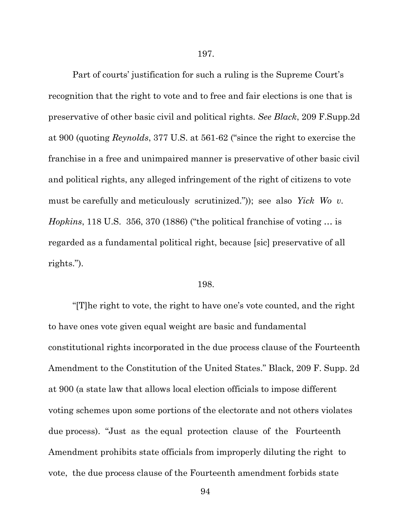Part of courts' justification for such a ruling is the Supreme Court's recognition that the right to vote and to free and fair elections is one that is preservative of other basic civil and political rights. *See Black*, 209 F.Supp.2d at 900 (quoting *Reynolds*, 377 U.S. at 561-62 ("since the right to exercise the franchise in a free and unimpaired manner is preservative of other basic civil and political rights, any alleged infringement of the right of citizens to vote must be carefully and meticulously scrutinized.")); see also *Yick Wo v. Hopkins*, 118 U.S. 356, 370 (1886) ("the political franchise of voting … is regarded as a fundamental political right, because [sic] preservative of all rights.").

#### 198.

"[T]he right to vote, the right to have one's vote counted, and the right to have ones vote given equal weight are basic and fundamental constitutional rights incorporated in the due process clause of the Fourteenth Amendment to the Constitution of the United States." Black, 209 F. Supp. 2d at 900 (a state law that allows local election officials to impose different voting schemes upon some portions of the electorate and not others violates due process). "Just as the equal protection clause of the Fourteenth Amendment prohibits state officials from improperly diluting the right to vote, the due process clause of the Fourteenth amendment forbids state

94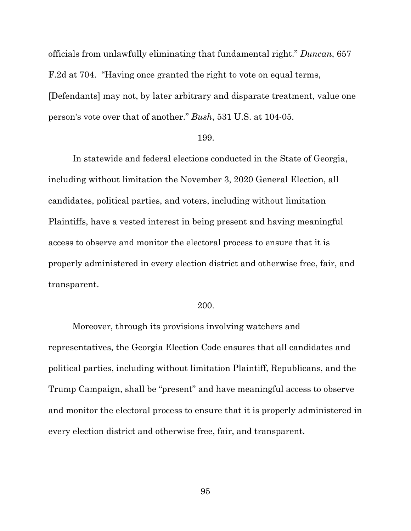officials from unlawfully eliminating that fundamental right." *Duncan*, 657 F.2d at 704. "Having once granted the right to vote on equal terms, [Defendants] may not, by later arbitrary and disparate treatment, value one person's vote over that of another." *Bush*, 531 U.S. at 104-05.

#### 199.

In statewide and federal elections conducted in the State of Georgia, including without limitation the November 3, 2020 General Election, all candidates, political parties, and voters, including without limitation Plaintiffs, have a vested interest in being present and having meaningful access to observe and monitor the electoral process to ensure that it is properly administered in every election district and otherwise free, fair, and transparent.

#### 200.

Moreover, through its provisions involving watchers and representatives, the Georgia Election Code ensures that all candidates and political parties, including without limitation Plaintiff, Republicans, and the Trump Campaign, shall be "present" and have meaningful access to observe and monitor the electoral process to ensure that it is properly administered in every election district and otherwise free, fair, and transparent.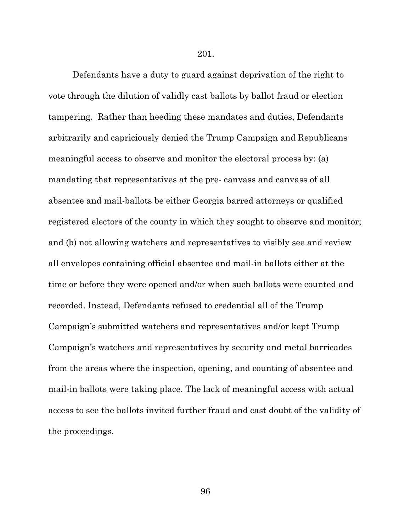201.

Defendants have a duty to guard against deprivation of the right to vote through the dilution of validly cast ballots by ballot fraud or election tampering. Rather than heeding these mandates and duties, Defendants arbitrarily and capriciously denied the Trump Campaign and Republicans meaningful access to observe and monitor the electoral process by: (a) mandating that representatives at the pre- canvass and canvass of all absentee and mail-ballots be either Georgia barred attorneys or qualified registered electors of the county in which they sought to observe and monitor; and (b) not allowing watchers and representatives to visibly see and review all envelopes containing official absentee and mail-in ballots either at the time or before they were opened and/or when such ballots were counted and recorded. Instead, Defendants refused to credential all of the Trump Campaign's submitted watchers and representatives and/or kept Trump Campaign's watchers and representatives by security and metal barricades from the areas where the inspection, opening, and counting of absentee and mail-in ballots were taking place. The lack of meaningful access with actual access to see the ballots invited further fraud and cast doubt of the validity of the proceedings.

96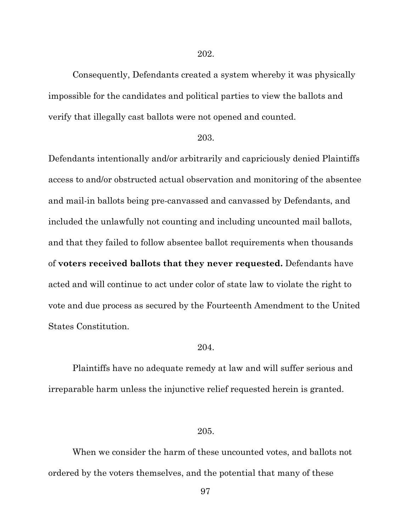Consequently, Defendants created a system whereby it was physically impossible for the candidates and political parties to view the ballots and verify that illegally cast ballots were not opened and counted.

#### 203.

Defendants intentionally and/or arbitrarily and capriciously denied Plaintiffs access to and/or obstructed actual observation and monitoring of the absentee and mail-in ballots being pre-canvassed and canvassed by Defendants, and included the unlawfully not counting and including uncounted mail ballots, and that they failed to follow absentee ballot requirements when thousands of **voters received ballots that they never requested.** Defendants have acted and will continue to act under color of state law to violate the right to vote and due process as secured by the Fourteenth Amendment to the United States Constitution.

# 204.

Plaintiffs have no adequate remedy at law and will suffer serious and irreparable harm unless the injunctive relief requested herein is granted.

# 205.

When we consider the harm of these uncounted votes, and ballots not ordered by the voters themselves, and the potential that many of these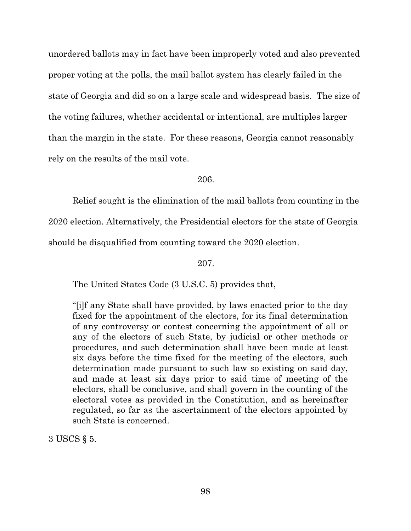unordered ballots may in fact have been improperly voted and also prevented proper voting at the polls, the mail ballot system has clearly failed in the state of Georgia and did so on a large scale and widespread basis. The size of the voting failures, whether accidental or intentional, are multiples larger than the margin in the state. For these reasons, Georgia cannot reasonably rely on the results of the mail vote.

206.

Relief sought is the elimination of the mail ballots from counting in the 2020 election. Alternatively, the Presidential electors for the state of Georgia should be disqualified from counting toward the 2020 election.

207.

The United States Code (3 U.S.C. 5) provides that,

"[i]f any State shall have provided, by laws enacted prior to the day fixed for the appointment of the electors, for its final determination of any controversy or contest concerning the appointment of all or any of the electors of such State, by judicial or other methods or procedures, and such determination shall have been made at least six days before the time fixed for the meeting of the electors, such determination made pursuant to such law so existing on said day, and made at least six days prior to said time of meeting of the electors, shall be conclusive, and shall govern in the counting of the electoral votes as provided in the Constitution, and as hereinafter regulated, so far as the ascertainment of the electors appointed by such State is concerned.

3 USCS § 5.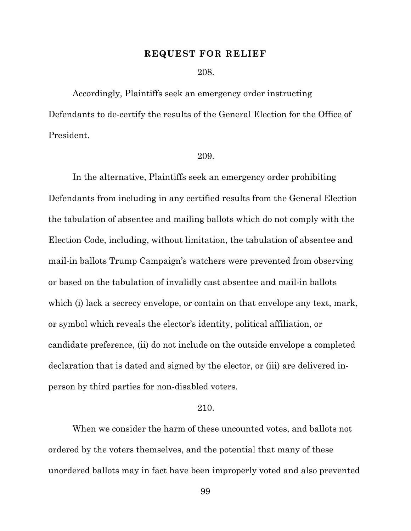#### **REQUEST FOR RELIEF**

208.

Accordingly, Plaintiffs seek an emergency order instructing Defendants to de-certify the results of the General Election for the Office of President.

### 209.

In the alternative, Plaintiffs seek an emergency order prohibiting Defendants from including in any certified results from the General Election the tabulation of absentee and mailing ballots which do not comply with the Election Code, including, without limitation, the tabulation of absentee and mail-in ballots Trump Campaign's watchers were prevented from observing or based on the tabulation of invalidly cast absentee and mail-in ballots which (i) lack a secrecy envelope, or contain on that envelope any text, mark, or symbol which reveals the elector's identity, political affiliation, or candidate preference, (ii) do not include on the outside envelope a completed declaration that is dated and signed by the elector, or (iii) are delivered inperson by third parties for non-disabled voters.

#### 210.

When we consider the harm of these uncounted votes, and ballots not ordered by the voters themselves, and the potential that many of these unordered ballots may in fact have been improperly voted and also prevented

99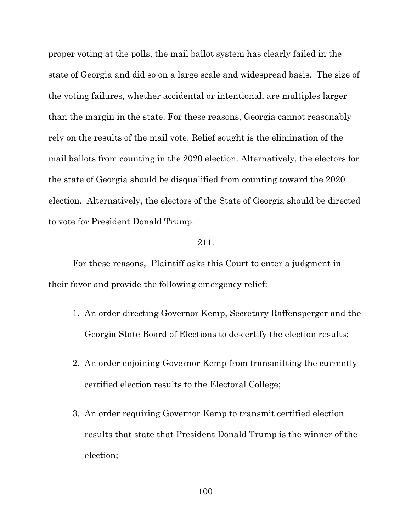proper voting at the polls, the mail ballot system has clearly failed in the state of Georgia and did so on a large scale and widespread basis. The size of the voting failures, whether accidental or intentional, are multiples larger than the margin in the state. For these reasons, Georgia cannot reasonably rely on the results of the mail vote. Relief sought is the elimination of the mail ballots from counting in the 2020 election. Alternatively, the electors for the state of Georgia should be disqualified from counting toward the 2020 election. Alternatively, the electors of the State of Georgia should be directed to vote for President Donald Trump.

#### 211.

For these reasons, Plaintiff asks this Court to enter a judgment in their favor and provide the following emergency relief:

- 1. An order directing Governor Kemp, Secretary Raffensperger and the Georgia State Board of Elections to de-certify the election results;
- 2. An order enjoining Governor Kemp from transmitting the currently certified election results to the Electoral College;
- 3. An order requiring Governor Kemp to transmit certified election results that state that President Donald Trump is the winner of the election;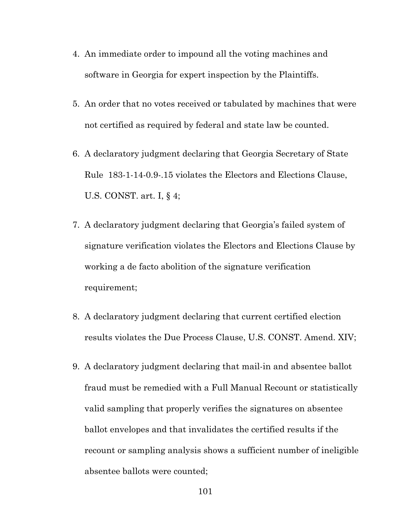- 4. An immediate order to impound all the voting machines and software in Georgia for expert inspection by the Plaintiffs.
- 5. An order that no votes received or tabulated by machines that were not certified as required by federal and state law be counted.
- 6. A declaratory judgment declaring that Georgia Secretary of State Rule 183-1-14-0.9-.15 violates the Electors and Elections Clause, U.S. CONST. art. I, § 4;
- 7. A declaratory judgment declaring that Georgia's failed system of signature verification violates the Electors and Elections Clause by working a de facto abolition of the signature verification requirement;
- 8. A declaratory judgment declaring that current certified election results violates the Due Process Clause, U.S. CONST. Amend. XIV;
- 9. A declaratory judgment declaring that mail-in and absentee ballot fraud must be remedied with a Full Manual Recount or statistically valid sampling that properly verifies the signatures on absentee ballot envelopes and that invalidates the certified results if the recount or sampling analysis shows a sufficient number of ineligible absentee ballots were counted;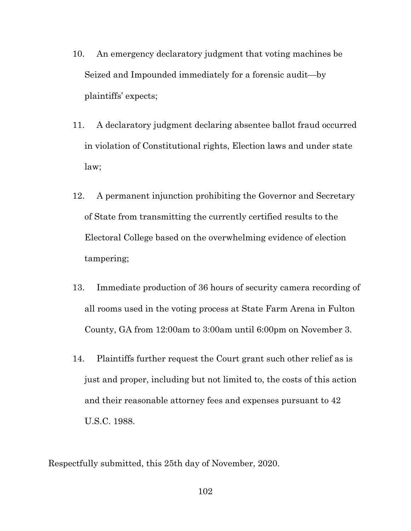- 10. An emergency declaratory judgment that voting machines be Seized and Impounded immediately for a forensic audit—by plaintiffs' expects;
- 11. A declaratory judgment declaring absentee ballot fraud occurred in violation of Constitutional rights, Election laws and under state law;
- 12. A permanent injunction prohibiting the Governor and Secretary of State from transmitting the currently certified results to the Electoral College based on the overwhelming evidence of election tampering;
- 13. Immediate production of 36 hours of security camera recording of all rooms used in the voting process at State Farm Arena in Fulton County, GA from 12:00am to 3:00am until 6:00pm on November 3.
- 14. Plaintiffs further request the Court grant such other relief as is just and proper, including but not limited to, the costs of this action and their reasonable attorney fees and expenses pursuant to 42 U.S.C. 1988.

Respectfully submitted, this 25th day of November, 2020.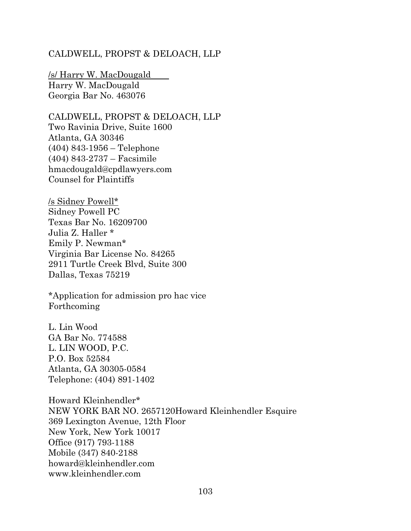# CALDWELL, PROPST & DELOACH, LLP

/s/ Harry W. MacDougald Harry W. MacDougald Georgia Bar No. 463076

CALDWELL, PROPST & DELOACH, LLP Two Ravinia Drive, Suite 1600 Atlanta, GA 30346 (404) 843-1956 – Telephone (404) 843-2737 – Facsimile hmacdougald@cpdlawyers.com Counsel for Plaintiffs

/s Sidney Powell\* Sidney Powell PC Texas Bar No. 16209700 Julia Z. Haller \* Emily P. Newman\* Virginia Bar License No. 84265 2911 Turtle Creek Blvd, Suite 300 Dallas, Texas 75219

\*Application for admission pro hac vice Forthcoming

L. Lin Wood GA Bar No. 774588 L. LIN WOOD, P.C. P.O. Box 52584 Atlanta, GA 30305-0584 Telephone: (404) 891-1402

Howard Kleinhendler\* NEW YORK BAR NO. 2657120Howard Kleinhendler Esquire 369 Lexington Avenue, 12th Floor New York, New York 10017 Office (917) 793-1188 Mobile (347) 840-2188 howard@kleinhendler.com www.kleinhendler.com